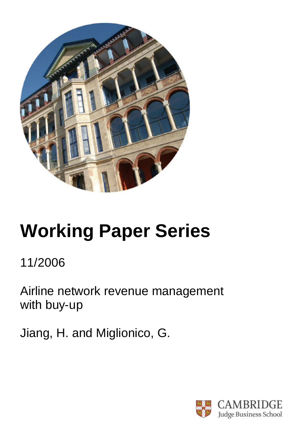

# **Working Paper Series**

# 11/2006

Airline network revenue management with buy-up

Jiang, H. and Miglionico, G.

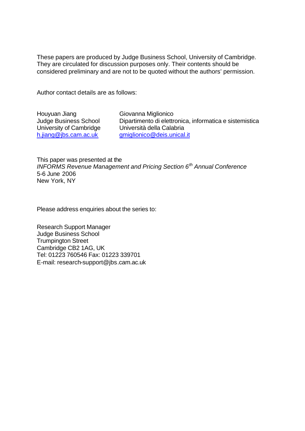These papers are produced by Judge Business School, University of Cambridge. They are circulated for discussion purposes only. Their contents should be considered preliminary and are not to be quoted without the authors' permission.

Author contact details are as follows:

Houyuan Jiang Judge Business School University of Cambridge h.jiang@jbs.cam.ac.uk

Giovanna Miglionico Dipartimento di elettronica, informatica e sistemistica Università della Calabria gmiglionico@deis.unical.it

This paper was presented at the *INFORMS Revenue Management and Pricing Section 6th Annual Conference* 5-6 June 2006 New York, NY

Please address enquiries about the series to:

Research Support Manager Judge Business School Trumpington Street Cambridge CB2 1AG, UK Tel: 01223 760546 Fax: 01223 339701 E-mail: research-support@jbs.cam.ac.uk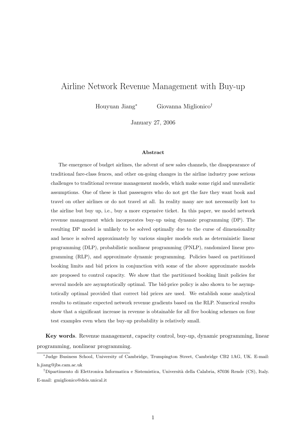# Airline Network Revenue Management with Buy-up

Houyuan Jiang<sup>∗</sup> Giovanna Miglionico†

January 27, 2006

#### Abstract

The emergence of budget airlines, the advent of new sales channels, the disappearance of traditional fare-class fences, and other on-going changes in the airline industry pose serious challenges to traditional revenue management models, which make some rigid and unrealistic assumptions. One of these is that passengers who do not get the fare they want book and travel on other airlines or do not travel at all. In reality many are not necessarily lost to the airline but buy up, i.e., buy a more expensive ticket. In this paper, we model network revenue management which incorporates buy-up using dynamic programming (DP). The resulting DP model is unlikely to be solved optimally due to the curse of dimensionality and hence is solved approximately by various simpler models such as deterministic linear programming (DLP), probabilistic nonlinear programming (PNLP), randomized linear programming (RLP), and approximate dynamic programming. Policies based on partitioned booking limits and bid prices in conjunction with some of the above approximate models are proposed to control capacity. We show that the partitioned booking limit policies for several models are asymptotically optimal. The bid-price policy is also shown to be asymptotically optimal provided that correct bid prices are used. We establish some analytical results to estimate expected network revenue gradients based on the RLP. Numerical results show that a significant increase in revenue is obtainable for all five booking schemes on four test examples even when the buy-up probability is relatively small.

Key words. Revenue management, capacity control, buy-up, dynamic programming, linear programming, nonlinear programming.

<sup>∗</sup> Judge Business School, University of Cambridge, Trumpington Street, Cambridge CB2 1AG, UK. E-mail: h.jiang@jbs.cam.ac.uk

<sup>†</sup>Dipartimento di Elettronica Informatica e Sistemistica, Universit`a della Calabria, 87036 Rende (CS), Italy. E-mail: gmiglionico@deis.unical.it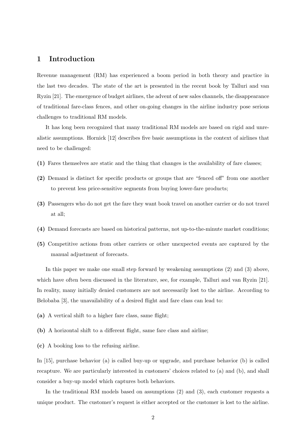# 1 Introduction

Revenue management (RM) has experienced a boom period in both theory and practice in the last two decades. The state of the art is presented in the recent book by Talluri and van Ryzin [21]. The emergence of budget airlines, the advent of new sales channels, the disappearance of traditional fare-class fences, and other on-going changes in the airline industry pose serious challenges to traditional RM models.

It has long been recognized that many traditional RM models are based on rigid and unrealistic assumptions. Hornick [12] describes five basic assumptions in the context of airlines that need to be challenged:

- (1) Fares themselves are static and the thing that changes is the availability of fare classes;
- (2) Demand is distinct for specific products or groups that are "fenced off" from one another to prevent less price-sensitive segments from buying lower-fare products;
- (3) Passengers who do not get the fare they want book travel on another carrier or do not travel at all;
- (4) Demand forecasts are based on historical patterns, not up-to-the-minute market conditions;
- (5) Competitive actions from other carriers or other unexpected events are captured by the manual adjustment of forecasts.

In this paper we make one small step forward by weakening assumptions (2) and (3) above, which have often been discussed in the literature, see, for example, Talluri and van Ryzin [21]. In reality, many initially denied customers are not necessarily lost to the airline. According to Belobaba [3], the unavailability of a desired flight and fare class can lead to:

- (a) A vertical shift to a higher fare class, same flight;
- (b) A horizontal shift to a different flight, same fare class and airline;
- (c) A booking loss to the refusing airline.

In [15], purchase behavior (a) is called buy-up or upgrade, and purchase behavior (b) is called recapture. We are particularly interested in customers' choices related to (a) and (b), and shall consider a buy-up model which captures both behaviors.

In the traditional RM models based on assumptions (2) and (3), each customer requests a unique product. The customer's request is either accepted or the customer is lost to the airline.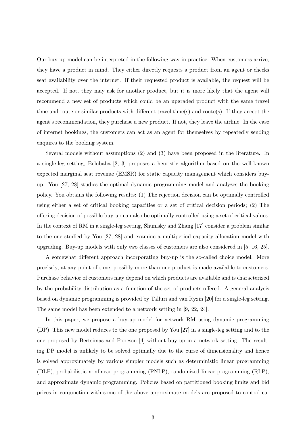Our buy-up model can be interpreted in the following way in practice. When customers arrive, they have a product in mind. They either directly requests a product from an agent or checks seat availability over the internet. If their requested product is available, the request will be accepted. If not, they may ask for another product, but it is more likely that the agent will recommend a new set of products which could be an upgraded product with the same travel time and route or similar products with different travel time(s) and route(s). If they accept the agent's recommendation, they purchase a new product. If not, they leave the airline. In the case of internet bookings, the customers can act as an agent for themselves by repeatedly sending enquires to the booking system.

Several models without assumptions (2) and (3) have been proposed in the literature. In a single-leg setting, Belobaba [2, 3] proposes a heuristic algorithm based on the well-known expected marginal seat revenue (EMSR) for static capacity management which considers buyup. You [27, 28] studies the optimal dynamic programming model and analyzes the booking policy. You obtains the following results: (1) The rejection decision can be optimally controlled using either a set of critical booking capacities or a set of critical decision periods; (2) The offering decision of possible buy-up can also be optimally controlled using a set of critical values. In the context of RM in a single-leg setting, Shumsky and Zhang [17] consider a problem similar to the one studied by You [27, 28] and examine a multiperiod capacity allocation model with upgrading. Buy-up models with only two classes of customers are also considered in [5, 16, 25].

A somewhat different approach incorporating buy-up is the so-called choice model. More precisely, at any point of time, possibly more than one product is made available to customers. Purchase behavior of customers may depend on which products are available and is characterized by the probability distribution as a function of the set of products offered. A general analysis based on dynamic programming is provided by Talluri and van Ryzin [20] for a single-leg setting. The same model has been extended to a network setting in [9, 22, 24].

In this paper, we propose a buy-up model for network RM using dynamic programming (DP). This new model reduces to the one proposed by You [27] in a single-leg setting and to the one proposed by Bertsimas and Popescu [4] without buy-up in a network setting. The resulting DP model is unlikely to be solved optimally due to the curse of dimensionality and hence is solved approximately by various simpler models such as deterministic linear programming (DLP), probabilistic nonlinear programming (PNLP), randomized linear programming (RLP), and approximate dynamic programming. Policies based on partitioned booking limits and bid prices in conjunction with some of the above approximate models are proposed to control ca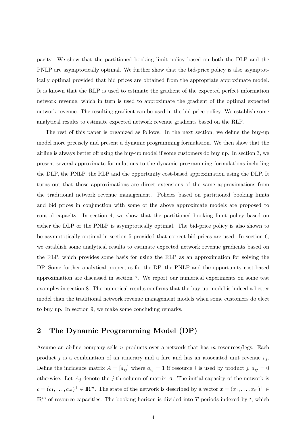pacity. We show that the partitioned booking limit policy based on both the DLP and the PNLP are asymptotically optimal. We further show that the bid-price policy is also asymptotically optimal provided that bid prices are obtained from the appropriate approximate model. It is known that the RLP is used to estimate the gradient of the expected perfect information network revenue, which in turn is used to approximate the gradient of the optimal expected network revenue. The resulting gradient can be used in the bid-price policy. We establish some analytical results to estimate expected network revenue gradients based on the RLP.

The rest of this paper is organized as follows. In the next section, we define the buy-up model more precisely and present a dynamic programming formulation. We then show that the airline is always better off using the buy-up model if some customers do buy up. In section 3, we present several approximate formulations to the dynamic programming formulations including the DLP, the PNLP, the RLP and the opportunity cost-based approximation using the DLP. It turns out that those approximations are direct extensions of the same approximations from the traditional network revenue management. Policies based on partitioned booking limits and bid prices in conjunction with some of the above approximate models are proposed to control capacity. In section 4, we show that the partitioned booking limit policy based on either the DLP or the PNLP is asymptotically optimal. The bid-price policy is also shown to be asymptotically optimal in section 5 provided that correct bid prices are used. In section 6, we establish some analytical results to estimate expected network revenue gradients based on the RLP, which provides some basis for using the RLP as an approximation for solving the DP. Some further analytical properties for the DP, the PNLP and the opportunity cost-based approximation are discussed in section 7. We report our numerical experiments on some test examples in section 8. The numerical results confirms that the buy-up model is indeed a better model than the traditional network revenue management models when some customers do elect to buy up. In section 9, we make some concluding remarks.

# 2 The Dynamic Programming Model (DP)

Assume an airline company sells n products over a network that has  $m$  resources/legs. Each product j is a combination of an itinerary and a fare and has an associated unit revenue  $r_j$ . Define the incidence matrix  $A = [a_{ij}]$  where  $a_{ij} = 1$  if resource i is used by product j,  $a_{ij} = 0$ otherwise. Let  $A_i$  denote the j-th column of matrix A. The initial capacity of the network is  $c = (c_1, \ldots, c_m)^\top \in \mathbb{R}^m$ . The state of the network is described by a vector  $x = (x_1, \ldots, x_m)^\top \in$  $\mathbb{R}^m$  of resource capacities. The booking horizon is divided into T periods indexed by t, which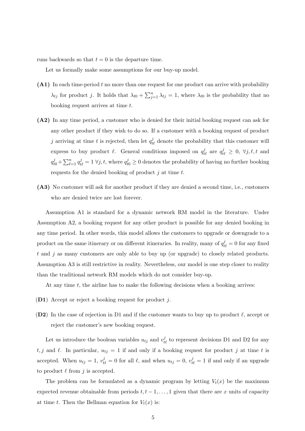runs backwards so that  $t = 0$  is the departure time.

Let us formally make some assumptions for our buy-up model.

- (A1) In each time-period t no more than one request for one product can arrive with probability  $\lambda_{tj}$  for product j. It holds that  $\lambda_{t0} + \sum_{j=1}^{n} \lambda_{tj} = 1$ , where  $\lambda_{t0}$  is the probability that no booking request arrives at time t.
- (A2) In any time period, a customer who is denied for their initial booking request can ask for any other product if they wish to do so. If a customer with a booking request of product j arriving at time t is rejected, then let  $q_{t\ell}^j$  denote the probability that this customer will express to buy product  $\ell$ . General conditions imposed on  $q_{t\ell}^j$  are  $q_{t\ell}^j \geq 0$ ,  $\forall j, \ell, t$  and  $q_{t0}^j + \sum_{\ell=1}^n q_{t\ell}^j = 1 \; \forall j, t$ , where  $q_{t0}^j \ge 0$  denotes the probability of having no further booking requests for the denied booking of product  $j$  at time  $t$ .
- (A3) No customer will ask for another product if they are denied a second time, i.e., customers who are denied twice are lost forever.

Assumption A1 is standard for a dynamic network RM model in the literature. Under Assumption A2, a booking request for any other product is possible for any denied booking in any time period. In other words, this model allows the customers to upgrade or downgrade to a product on the same itinerary or on different itineraries. In reality, many of  $q_{t\ell}^j = 0$  for any fixed  $t$  and  $j$  as many customers are only able to buy up (or upgrade) to closely related products. Assumption A3 is still restrictive in reality. Nevertheless, our model is one step closer to reality than the traditional network RM models which do not consider buy-up.

At any time  $t$ , the airline has to make the following decisions when a booking arrives:

- (D1) Accept or reject a booking request for product j.
- (D2) In the case of rejection in D1 and if the customer wants to buy up to product  $\ell$ , accept or reject the customer's new booking request.

Let us introduce the boolean variables  $u_{tj}$  and  $v_{t\ell}^j$  to represent decisions D1 and D2 for any t, j and  $\ell$ . In particular,  $u_{tj} = 1$  if and only if a booking request for product j at time t is accepted. When  $u_{tj} = 1$ ,  $v_{t\ell}^j = 0$  for all  $\ell$ , and when  $u_{tj} = 0$ ,  $v_{t\ell}^j = 1$  if and only if an upgrade to product  $\ell$  from j is accepted.

The problem can be formulated as a dynamic program by letting  $V_t(x)$  be the maximum expected revenue obtainable from periods  $t, t - 1, \ldots, 1$  given that there are x units of capacity at time t. Then the Bellman equation for  $V_t(x)$  is: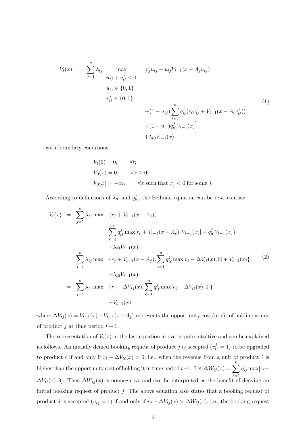$$
V_t(x) = \sum_{j=1}^n \lambda_{tj} \max_{u_{tj} + v_{t\ell}^j \le 1} [r_j u_{tj} + u_{tj} V_{t-1}(x - A_j u_{tj})
$$
  
\n
$$
u_{tj} \in \{0, 1\}
$$
  
\n
$$
v_{t\ell}^j \in \{0, 1\}
$$
  
\n
$$
+ (1 - u_{tj}) \sum_{\ell=1}^n q_{t\ell}^j (r_\ell v_{t\ell}^j + V_{t-1}(x - A_\ell v_{t\ell}^j))
$$
  
\n
$$
+ (1 - u_{tj}) q_{t0}^j V_{t-1}(x)
$$
  
\n
$$
+ \lambda_{t0} V_{t-1}(x)
$$
  
\n(1)

with boundary conditions

$$
V_t(0) = 0, \t\t \forall t;
$$
  
\n
$$
V_0(x) = 0, \t\t \forall x \ge 0;
$$
  
\n
$$
V_0(x) = -\infty, \t\t \forall x \text{ such that } x_j < 0 \text{ for some } j.
$$

According to definitions of  $\lambda_{t0}$  and  $q_t^j$  $_{t0}^{j}$ , the Bellman equation can be rewritten as:

$$
V_t(x) = \sum_{j=1}^n \lambda_{tj} \max \{r_j + V_{t-1}(x - A_j),
$$
  

$$
\sum_{\ell=1}^n q_{t\ell}^j \max[r_{\ell} + V_{t-1}(x - A_{\ell}), V_{t-1}(x)] + q_{t0}^j V_{t-1}(x)\}
$$
  

$$
+ \lambda_{t0} V_{t-1}(x)
$$
  

$$
= \sum_{j=1}^n \lambda_{tj} \max \{r_j + V_{t-1}(x - A_j), \sum_{\ell=1}^n q_{t\ell}^j \max[r_{\ell} - \Delta V_{t\ell}(x), 0] + V_{t-1}(x)\}
$$
  

$$
+ \lambda_{t0} V_{t-1}(x)
$$
  

$$
= \sum_{j=1}^n \lambda_{tj} \max \{r_j - \Delta V_{tj}(x), \sum_{\ell=1}^n q_{t\ell}^j \max[r_{\ell} - \Delta V_{t\ell}(x), 0]\}
$$
  

$$
+ V_{t-1}(x)
$$
 (2)

where  $\Delta V_{tj}(x) = V_{t-1}(x) - V_{t-1}(x-A_j)$  represents the opportunity cost/profit of holding a unit of product j at time period  $t - 1$ .

The representation of  $V_t(x)$  in the last equation above is quite intuitive and can be explained as follows. An initially denied booking request of product j is accepted  $(v_{t\ell}^j = 1)$  to be upgraded to product  $\ell$  if and only if  $r_{\ell} - \Delta V_{t\ell}(x) > 0$ , i.e., when the revenue from a unit of product  $\ell$  is higher than the opportunity cost of holding it in time period t−1. Let  $\Delta W_{tj}(x) = \sum_{n=1}^{n}$  $_{\ell=1}$  $q_{t\ell}^j \max[r_\ell \Delta V_{t\ell}(x)$ , 0]. Then  $\Delta W_{tj}(x)$  is nonnegative and can be interpreted as the benefit of denying an initial booking request of product  $j$ . The above equation also states that a booking request of product j is accepted  $(u_{tj} = 1)$  if and only if  $r_j - \Delta V_{tj}(x) > \Delta W_{tj}(x)$ , i.e., the booking request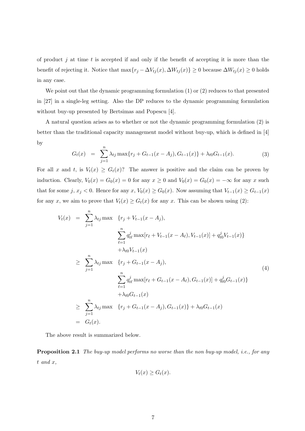of product  $j$  at time  $t$  is accepted if and only if the benefit of accepting it is more than the benefit of rejecting it. Notice that  $\max\{r_j - \Delta V_{tj}(x), \Delta W_{tj}(x)\} \ge 0$  because  $\Delta W_{tj}(x) \ge 0$  holds in any case.

We point out that the dynamic programming formulation (1) or (2) reduces to that presented in [27] in a single-leg setting. Also the DP reduces to the dynamic programming formulation without buy-up presented by Bertsimas and Popescu [4].

A natural question arises as to whether or not the dynamic programming formulation (2) is better than the traditional capacity management model without buy-up, which is defined in [4] by

$$
G_t(x) = \sum_{j=1}^n \lambda_{tj} \max\{r_j + G_{t-1}(x - A_j), G_{t-1}(x)\} + \lambda_{t0} G_{t-1}(x). \tag{3}
$$

For all x and t, is  $V_t(x) \geq G_t(x)$ ? The answer is positive and the claim can be proven by induction. Clearly,  $V_0(x) = G_0(x) = 0$  for any  $x \ge 0$  and  $V_0(x) = G_0(x) = -\infty$  for any x such that for some j,  $x_j < 0$ . Hence for any  $x, V_0(x) \ge G_0(x)$ . Now assuming that  $V_{t-1}(x) \ge G_{t-1}(x)$ for any x, we aim to prove that  $V_t(x) \geq G_t(x)$  for any x. This can be shown using (2):

$$
V_t(x) = \sum_{j=1}^n \lambda_{tj} \max \{r_j + V_{t-1}(x - A_j),
$$
  
\n
$$
\sum_{\ell=1}^n q_{t\ell}^j \max[r_{\ell} + V_{t-1}(x - A_{\ell}), V_{t-1}(x)] + q_{t0}^j V_{t-1}(x)\}
$$
  
\n
$$
\geq \sum_{j=1}^n \lambda_{tj} \max \{r_j + G_{t-1}(x - A_j),
$$
  
\n
$$
\geq \sum_{\ell=1}^n q_{t\ell}^j \max[r_{\ell} + G_{t-1}(x - A_{\ell}), G_{t-1}(x)] + q_{t0}^j G_{t-1}(x)\}
$$
  
\n
$$
\geq \sum_{j=1}^n \lambda_{tj} \max \{r_j + G_{t-1}(x - A_j), G_{t-1}(x)\} + \lambda_{t0} G_{t-1}(x)
$$
  
\n
$$
= G_t(x).
$$
  
\n(4)

The above result is summarized below.

Proposition 2.1 The buy-up model performs no worse than the non buy-up model, i.e., for any t and x,

$$
V_t(x) \ge G_t(x).
$$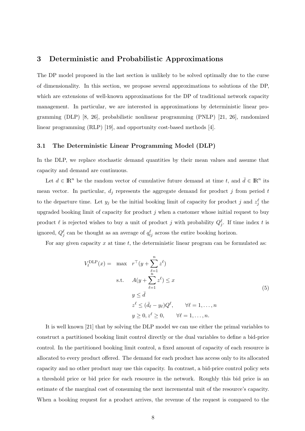# 3 Deterministic and Probabilistic Approximations

The DP model proposed in the last section is unlikely to be solved optimally due to the curse of dimensionality. In this section, we propose several approximations to solutions of the DP, which are extensions of well-known approximations for the DP of traditional network capacity management. In particular, we are interested in approximations by deterministic linear programming (DLP) [8, 26], probabilistic nonlinear programming (PNLP) [21, 26], randomized linear programming (RLP) [19], and opportunity cost-based methods [4].

#### 3.1 The Deterministic Linear Programming Model (DLP)

In the DLP, we replace stochastic demand quantities by their mean values and assume that capacity and demand are continuous.

Let  $d \in \mathbb{R}^n$  be the random vector of cumulative future demand at time t, and  $\bar{d} \in \mathbb{R}^n$  its mean vector. In particular,  $d_j$  represents the aggregate demand for product j from period t to the departure time. Let  $y_j$  be the initial booking limit of capacity for product j and  $z_j^{\ell}$  the upgraded booking limit of capacity for product  $j$  when a customer whose initial request to buy product  $\ell$  is rejected wishes to buy a unit of product j with probability  $Q_j^{\ell}$ . If time index t is ignored,  $Q_j^{\ell}$  can be thought as an average of  $q_{tj}^{\ell}$  across the entire booking horizon.

For any given capacity  $x$  at time  $t$ , the deterministic linear program can be formulated as:

$$
V_t^{\text{DLP}}(x) = \max_{\begin{subarray}{l} \ell=1 \\ n \end{subarray}} r^{\top} (y + \sum_{\ell=1}^n z^{\ell})
$$
  
s.t. 
$$
A(y + \sum_{\ell=1}^n z^{\ell}) \leq x
$$

$$
y \leq \bar{d}
$$

$$
z^{\ell} \leq (\bar{d}_{\ell} - y_{\ell}) Q^{\ell}, \qquad \forall \ell = 1, ..., n
$$

$$
y \geq 0, z^{\ell} \geq 0, \qquad \forall \ell = 1, ..., n.
$$

It is well known [21] that by solving the DLP model we can use either the primal variables to construct a partitioned booking limit control directly or the dual variables to define a bid-price control. In the partitioned booking limit control, a fixed amount of capacity of each resource is allocated to every product offered. The demand for each product has access only to its allocated capacity and no other product may use this capacity. In contrast, a bid-price control policy sets a threshold price or bid price for each resource in the network. Roughly this bid price is an estimate of the marginal cost of consuming the next incremental unit of the resource's capacity. When a booking request for a product arrives, the revenue of the request is compared to the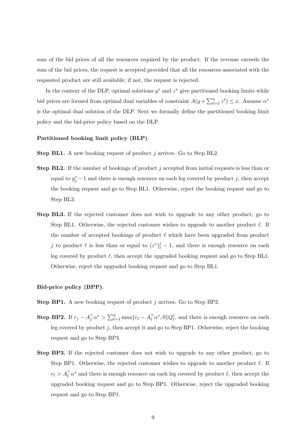sum of the bid prices of all the resources required by the product. If the revenue exceeds the sum of the bid prices, the request is accepted provided that all the resources associated with the requested product are still available; if not, the request is rejected.

In the context of the DLP, optimal solutions  $y^*$  and  $z^*$  give partitioned booking limits while bid prices are formed from optimal dual variables of constraint  $A(y + \sum_{\ell=1}^n z^{\ell}) \leq x$ . Assume  $\alpha^*$ is the optimal dual solution of the DLP. Next we formally define the partitioned booking limit policy and the bid-price policy based on the DLP.

#### Partitioned booking limit policy (BLP).

- Step BL1. A new booking request of product j arrives. Go to Step BL2.
- Step BL2. If the number of bookings of product j accepted from initial requests is less than or equal to  $y_j^*$  – 1 and there is enough resource on each leg covered by product j, then accept the booking request and go to Step BL1. Otherwise, reject the booking request and go to Step BL3.
- Step BL3. If the rejected customer does not wish to upgrade to any other product, go to Step BL1. Otherwise, the rejected customer wishes to upgrade to another product  $\ell$ . If the number of accepted bookings of product  $\ell$  which have been upgraded from product j to product  $\ell$  is less than or equal to  $(z^*)^j_{\ell} - 1$ , and there is enough resource on each leg covered by product  $\ell$ , then accept the upgraded booking request and go to Step BL1. Otherwise, reject the upgraded booking request and go to Step BL1.

#### Bid-price policy (BPP).

- Step BP1. A new booking request of product j arrives. Go to Step BP2.
- Step BP2. If  $r_j A_j^\top \alpha^* > \sum_{\ell=1}^n \max\{r_\ell A_\ell^\top \alpha^*, 0\} Q_\ell^j$  $\ell$ , and there is enough resource on each leg covered by product  $j$ , then accept it and go to Step BP1. Otherwise, reject the booking request and go to Step BP3.
- Step BP3. If the rejected customer does not wish to upgrade to any other product, go to Step BP1. Otherwise, the rejected customer wishes to upgrade to another product  $\ell$ . If  $r_{\ell} > A_{\ell}^{\top} \alpha^*$  and there is enough resource on each leg covered by product  $\ell$ , then accept the upgraded booking request and go to Step BP1. Otherwise, reject the upgraded booking request and go to Step BP1.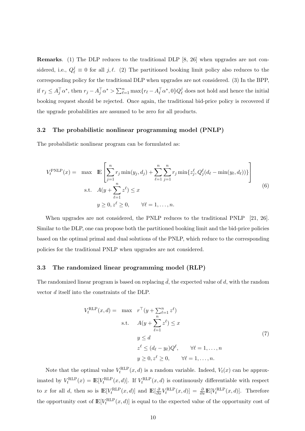Remarks. (1) The DLP reduces to the traditional DLP [8, 26] when upgrades are not considered, i.e.,  $Q_{\ell}^{j} \equiv 0$  for all j,  $\ell$ . (2) The partitioned booking limit policy also reduces to the corresponding policy for the traditional DLP when upgrades are not considered. (3) In the BPP, if  $r_j \leq A_j^{\top} \alpha^*$ , then  $r_j - A_j^{\top} \alpha^* > \sum_{\ell=1}^n \max\{r_\ell - A_\ell^{\top} \alpha^*, 0\} Q_\ell^j$  $\ell$  does not hold and hence the initial booking request should be rejected. Once again, the traditional bid-price policy is recovered if the upgrade probabilities are assumed to be zero for all products.

#### 3.2 The probabilistic nonlinear programming model (PNLP)

The probabilistic nonlinear program can be formulated as:

$$
V_t^{\text{PNLP}}(x) = \max \mathbb{E}\left[\sum_{j=1}^n r_j \min(y_j, d_j) + \sum_{\ell=1}^n \sum_{j=1}^n r_j \min\{z_j^{\ell}, Q_j^{\ell}(d_{\ell} - \min(y_{\ell}, d_{\ell}))\}\right]
$$
  
s.t.  $A(y + \sum_{\ell=1}^n z^{\ell}) \le x$   
 $y \ge 0, z^{\ell} \ge 0, \qquad \forall \ell = 1, ..., n.$  (6)

When upgrades are not considered, the PNLP reduces to the traditional PNLP [21, 26]. Similar to the DLP, one can propose both the partitioned booking limit and the bid-price policies based on the optimal primal and dual solutions of the PNLP, which reduce to the corresponding policies for the traditional PNLP when upgrades are not considered.

### 3.3 The randomized linear programming model (RLP)

The randomized linear program is based on replacing  $\bar{d}$ , the expected value of d, with the random vector d itself into the constraints of the DLP.

$$
V_t^{\text{RLP}}(x, d) = \max \n\begin{cases} \n\begin{cases} \n\begin{aligned} \nr^{\top}(y + \sum_{\ell=1}^n z^{\ell}) \n\end{aligned} \\
\text{s.t.} \quad A(y + \sum_{\ell=1}^n z^{\ell}) \leq x\n\end{aligned}\n\end{cases}\n\end{cases}\n\begin{cases}\ny \leq d \\
\begin{aligned} \nz^{\ell} \leq (d_{\ell} - y_{\ell})Q^{\ell}, \quad \forall \ell = 1, \dots, n \\
y \geq 0, z^{\ell} \geq 0, \quad \forall \ell = 1, \dots, n.\n\end{aligned}\n\end{cases} (7)
$$

Note that the optimal value  $V_t^{RLP}(x, d)$  is a random variable. Indeed,  $V_t(x)$  can be approximated by  $V_t^{\text{RLP}}(x) = \mathbb{E}[V_t^{\text{RLP}}(x, d)]$ . If  $V_t^{\text{RLP}}(x, d)$  is continuously differentiable with respect to x for all d, then so is  $\mathbb{E}[V_t^{\text{RLP}}(x, d)]$  and  $\mathbb{E}[\frac{\partial}{\partial x}V_t^{\text{RLP}}(x, d)] = \frac{\partial}{\partial x} \mathbb{E}[V_t^{\text{RLP}}(x, d)]$ . Therefore the opportunity cost of  $\mathbb{E}[V_t^{\text{RLP}}(x, d)]$  is equal to the expected value of the opportunity cost of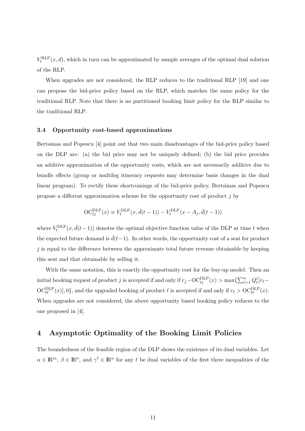$V_t^{\text{RLP}}(x, d)$ , which in turn can be approximated by sample averages of the optimal dual solution of the RLP.

When upgrades are not considered, the RLP reduces to the traditional RLP [19] and one can propose the bid-price policy based on the RLP, which matches the same policy for the traditional RLP. Note that there is no partitioned booking limit policy for the RLP similar to the traditional RLP.

#### 3.4 Opportunity cost-based approximations

Bertsimas and Popescu [4] point out that two main disadvantages of the bid-price policy based on the DLP are: (a) the bid price may not be uniquely defined; (b) the bid price provides an additive approximation of the opportunity costs, which are not necessarily additive due to bundle effects (group or multileg itinerary requests may determine basis changes in the dual linear program). To rectify these shortcomings of the bid-price policy, Bertsimas and Popescu propose a different approximation scheme for the opportunity cost of product  $j$  by

$$
OC_{tj}^{DLP}(x) \equiv V_t^{DLP}(x, \bar{d}(t-1)) - V_t^{DLP}(x - A_j, \bar{d}(t-1))
$$

where  $V_t^{\text{DLP}}(x, \bar{d}(t-1))$  denotes the optimal objective function value of the DLP at time t when the expected future demand is  $\bar{d}(t-1)$ . In other words, the opportunity cost of a seat for product  $j$  is equal to the difference between the approximate total future revenue obtainable by keeping this seat and that obtainable by selling it.

With the same notation, this is exactly the opportunity cost for the buy-up model. Then an initial booking request of product j is accepted if and only if  $r_j$ -OC $_{tj}^{\text{DLP}}(x)$  > max $\{\sum_{\ell=1}^n Q_\ell^{j}$  $l^{\jmath}_{\ell} [r_{\ell} OC_{t\ell}^{DLP}(x)$ , and the upgraded booking of product  $\ell$  is accepted if and only if  $r_{\ell} > OC_{t\ell}^{DLP}(x)$ . When upgrades are not considered, the above opportunity based booking policy reduces to the one proposed in [4].

# 4 Asymptotic Optimality of the Booking Limit Policies

The boundedness of the feasible region of the DLP shows the existence of its dual variables. Let  $\alpha \in \mathbb{R}^m$ ,  $\beta \in \mathbb{R}^n$ , and  $\gamma^{\ell} \in \mathbb{R}^n$  for any  $\ell$  be dual variables of the first three inequalities of the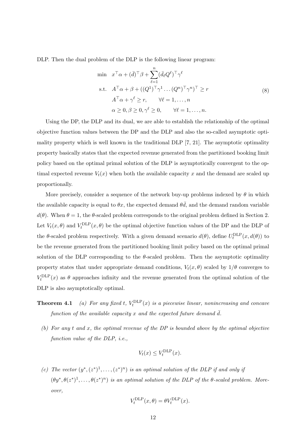DLP. Then the dual problem of the DLP is the following linear program:

$$
\begin{aligned}\n\min \quad & x^{\top} \alpha + (\bar{d})^{\top} \beta + \sum_{\ell=1}^{n} (\bar{d}_{\ell} Q^{\ell})^{\top} \gamma^{\ell} \\
\text{s.t.} \quad & A^{\top} \alpha + \beta + ((Q^1)^{\top} \gamma^1 \dots (Q^n)^{\top} \gamma^n)^{\top} \ge r \\
& A^{\top} \alpha + \gamma^{\ell} \ge r, \qquad \forall \ell = 1, \dots, n \\
& \alpha \ge 0, \beta \ge 0, \gamma^{\ell} \ge 0, \qquad \forall \ell = 1, \dots, n.\n\end{aligned} \tag{8}
$$

Using the DP, the DLP and its dual, we are able to establish the relationship of the optimal objective function values between the DP and the DLP and also the so-called asymptotic optimality property which is well known in the traditional DLP [7, 21]. The asymptotic optimality property basically states that the expected revenue generated from the partitioned booking limit policy based on the optimal primal solution of the DLP is asymptotically convergent to the optimal expected revenue  $V_t(x)$  when both the available capacity x and the demand are scaled up proportionally.

More precisely, consider a sequence of the network buy-up problems indexed by  $\theta$  in which the available capacity is equal to  $\theta x$ , the expected demand  $\theta \bar{d}$ , and the demand random variable  $d(\theta)$ . When  $\theta = 1$ , the  $\theta$ -scaled problem corresponds to the original problem defined in Section 2. Let  $V_t(x, \theta)$  and  $V_t^{DLP}(x, \theta)$  be the optimal objective function values of the DP and the DLP of the  $\theta$ -scaled problem respectively. With a given demand scenario  $d(\theta)$ , define  $U_t^{DLP}(x, d(\theta))$  to be the revenue generated from the partitioned booking limit policy based on the optimal primal solution of the DLP corresponding to the  $\theta$ -scaled problem. Then the asymptotic optimality property states that under appropriate demand conditions,  $V_t(x, \theta)$  scaled by  $1/\theta$  converges to  $V_t^{\text{DLP}}(x)$  as  $\theta$  approaches infinity and the revenue generated from the optimal solution of the DLP is also asymptotically optimal.

- **Theorem 4.1** (a) For any fixed t,  $V_t^{\text{DLP}}(x)$  is a piecewise linear, nonincreasing and concave function of the available capacity x and the expected future demand  $\bar{d}$ .
	- (b) For any t and x, the optimal revenue of the DP is bounded above by the optimal objective function value of the DLP, i.e.,

$$
V_t(x) \le V_t^{\text{DLP}}(x).
$$

(c) The vector  $(y^*, (z^*)^1, \ldots, (z^*)^n)$  is an optimal solution of the DLP if and only if  $(\theta y^*, \theta(z^*)^1, \ldots, \theta(z^*)^n)$  is an optimal solution of the DLP of the  $\theta$ -scaled problem. Moreover,

$$
V_t^{\text{DLP}}(x,\theta) = \theta V_t^{\text{DLP}}(x).
$$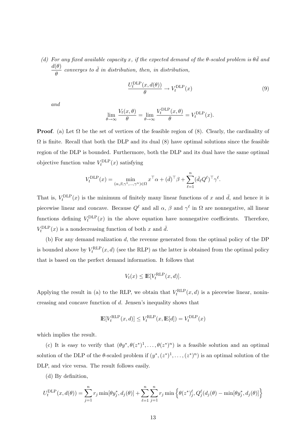(d) For any fixed available capacity x, if the expected demand of the  $\theta$ -scaled problem is  $\theta \bar{d}$  and  $d(\theta)$  $\frac{\partial \Theta}{\partial \theta}$  converges to  $\bar{d}$  in distribution, then, in distribution,

$$
\frac{U_t^{\text{DLP}}(x, d(\theta))}{\theta} \to V_t^{\text{DLP}}(x)
$$
\n(9)

and

$$
\lim_{\theta \to \infty} \frac{V_t(x, \theta)}{\theta} = \lim_{\theta \to \infty} \frac{V_t^{\text{DLP}}(x, \theta)}{\theta} = V_t^{\text{DLP}}(x).
$$

**Proof.** (a) Let  $\Omega$  be the set of vertices of the feasible region of (8). Clearly, the cardinality of  $\Omega$  is finite. Recall that both the DLP and its dual (8) have optimal solutions since the feasible region of the DLP is bounded. Furthermore, both the DLP and its dual have the same optimal objective function value  $V_t^{\text{DLP}}(x)$  satisfying

$$
V_t^{\text{DLP}}(x) = \min_{(\alpha,\beta,\gamma^1,\dots,\gamma^n)\in\Omega} x^\top \alpha + (\bar{d})^\top \beta + \sum_{\ell=1}^n (\bar{d}_\ell Q^\ell)^\top \gamma^\ell.
$$

That is,  $V_t^{\text{DLP}}(x)$  is the minimum of finitely many linear functions of x and  $\bar{d}$ , and hence it is piecewise linear and concave. Because  $Q^{\ell}$  and all  $\alpha$ ,  $\beta$  and  $\gamma^{\ell}$  in  $\Omega$  are nonnegative, all linear functions defining  $V_t^{\text{DLP}}(x)$  in the above equation have nonnegative coefficients. Therefore,  $V_t^{\text{DLP}}(x)$  is a nondecreasing function of both x and  $\bar{d}$ .

(b) For any demand realization d, the revenue generated from the optimal policy of the DP is bounded above by  $V_t^{RLP}(x, d)$  (see the RLP) as the latter is obtained from the optimal policy that is based on the perfect demand information. It follows that

$$
V_t(x) \le \mathbb{E}[V_t^{\mathrm{RLP}}(x, d)].
$$

Applying the result in (a) to the RLP, we obtain that  $V_t^{RLP}(x, d)$  is a piecewise linear, nonincreasing and concave function of d. Jensen's inequality shows that

$$
\mathbb{E}[V_t^{\mathrm{RLP}}(x,d)] \le V_t^{\mathrm{RLP}}(x,\mathbb{E}[d]) = V_t^{\mathrm{DLP}}(x)
$$

which implies the result.

(c) It is easy to verify that  $(\theta y^*, \theta(z^*)^1, \dots, \theta(z^*)^n)$  is a feasible solution and an optimal solution of the DLP of the  $\theta$ -scaled problem if  $(y^*, (z^*)^1, \ldots, (z^*)^n)$  is an optimal solution of the DLP, and vice versa. The result follows easily.

(d) By definition,

$$
U_t^{\text{DLP}}(x, d(\theta)) = \sum_{j=1}^n r_j \min[\theta y_j^*, d_j(\theta)] + \sum_{\ell=1}^n \sum_{j=1}^n r_j \min\left\{\theta(z^*)^{\ell}_j, Q^{\ell}_j(d_j(\theta) - \min[\theta y_j^*, d_j(\theta)]\right\}
$$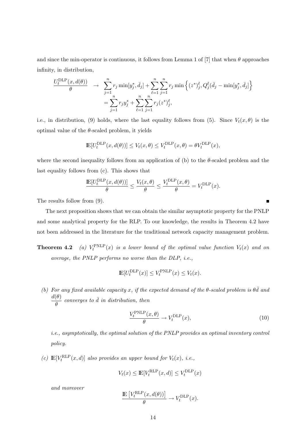and since the min-operator is continuous, it follows from Lemma 1 of [7] that when  $\theta$  approaches infinity, in distribution,

$$
\frac{U_t^{\text{DLP}}(x, d(\theta))}{\theta} \rightarrow \sum_{j=1}^n r_j \min[y_j^*, \bar{d}_j] + \sum_{\ell=1}^n \sum_{j=1}^n r_j \min\left\{(z^*)_j^{\ell}, Q_j^{\ell}(\bar{d}_j - \min[y_j^*, \bar{d}_j]\right\}
$$

$$
= \sum_{j=1}^n r_j y_j^* + \sum_{\ell=1}^n \sum_{j=1}^n r_j (z^*)_j^{\ell},
$$

i.e., in distribution, (9) holds, where the last equality follows from (5). Since  $V_t(x, \theta)$  is the optimal value of the  $\theta$ -scaled problem, it yields

$$
\mathbb{E}[U_t^{\mathrm{DLP}}(x, d(\theta))] \le V_t(x, \theta) \le V_t^{\mathrm{DLP}}(x, \theta) = \theta V_t^{\mathrm{DLP}}(x),
$$

where the second inequality follows from an application of (b) to the  $\theta$ -scaled problem and the last equality follows from (c). This shows that

$$
\frac{\mathbb{E}[U_t^{\text{DLP}}(x, d(\theta))] }{\theta} \le \frac{V_t(x, \theta)}{\theta} \le \frac{V_t^{\text{DLP}}(x, \theta)}{\theta} = V_t^{\text{DLP}}(x).
$$

The results follow from (9).

The next proposition shows that we can obtain the similar asymptotic property for the PNLP and some analytical property for the RLP. To our knowledge, the results in Theorem 4.2 have not been addressed in the literature for the traditional network capacity management problem.

**Theorem 4.2** (a)  $V_t^{\text{PNLP}}(x)$  is a lower bound of the optimal value function  $V_t(x)$  and on average, the PNLP performs no worse than the DLP, i.e.,

$$
\mathbb{E}[U_t^{\text{DLP}}(x)] \le V_t^{\text{PNLP}}(x) \le V_t(x).
$$

(b) For any fixed available capacity x, if the expected demand of the  $\theta$ -scaled problem is  $\theta \bar{d}$  and  $d(\theta)$  $\frac{\partial \Theta}{\partial \theta}$  converges to  $\bar{d}$  in distribution, then

$$
\frac{V_t^{\text{PNLP}}(x,\theta)}{\theta} \to V_t^{\text{DLP}}(x),\tag{10}
$$

i.e., asymptotically, the optimal solution of the PNLP provides an optimal inventory control policy.

(c)  $\mathbb{E}[V_t^{\text{RLP}}(x, d)]$  also provides an upper bound for  $V_t(x)$ , i.e.,

$$
V_t(x) \le \mathbb{E}[V_t^{\text{RLP}}(x, d)] \le V_t^{\text{DLP}}(x)
$$

and moreover

$$
\frac{\mathrm{I\!E}\left[V_t^{\mathrm{RLP}}(x, d(\theta))\right]}{\theta} \to V_t^{\mathrm{DLP}}(x).
$$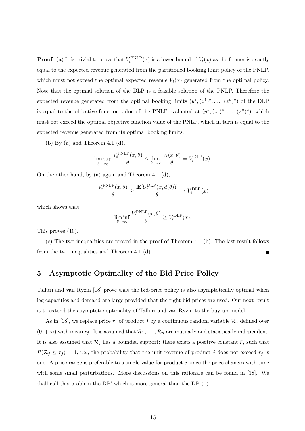**Proof.** (a) It is trivial to prove that  $V_t^{\text{PNLP}}(x)$  is a lower bound of  $V_t(x)$  as the former is exactly equal to the expected revenue generated from the partitioned booking limit policy of the PNLP, which must not exceed the optimal expected revenue  $V_t(x)$  generated from the optimal policy. Note that the optimal solution of the DLP is a feasible solution of the PNLP. Therefore the expected revenue generated from the optimal booking limits  $(y^*, (z^1)^*, \ldots, (z^n)^*)$  of the DLP is equal to the objective function value of the PNLP evaluated at  $(y^*, (z^1)^*, \ldots, (z^n)^*)$ , which must not exceed the optimal objective function value of the PNLP, which in turn is equal to the expected revenue generated from its optimal booking limits.

(b) By (a) and Theorem 4.1 (d),

$$
\limsup_{\theta \to \infty} \frac{V_t^{\text{PNLP}}(x,\theta)}{\theta} \le \lim_{\theta \to \infty} \frac{V_t(x,\theta)}{\theta} = V_t^{\text{DLP}}(x).
$$

On the other hand, by (a) again and Theorem 4.1 (d),

$$
\frac{V_t^{\text{PNLP}}(x,\theta)}{\theta} \ge \frac{\mathbb{E}[U_t^{\text{DLP}}(x,d(\theta))] }{\theta} \to V_t^{\text{DLP}}(x)
$$

which shows that

$$
\liminf_{\theta \to \infty} \frac{V_t^{\text{PNLP}}(x,\theta)}{\theta} \ge V_t^{\text{DLP}}(x).
$$

This proves (10).

(c) The two inequalities are proved in the proof of Theorem 4.1 (b). The last result follows from the two inequalities and Theorem 4.1 (d).

# 5 Asymptotic Optimality of the Bid-Price Policy

Talluri and van Ryzin [18] prove that the bid-price policy is also asymptotically optimal when leg capacities and demand are large provided that the right bid prices are used. Our next result is to extend the asymptotic optimality of Talluri and van Ryzin to the buy-up model.

As in [18], we replace price  $r_j$  of product j by a continuous random variable  $\mathcal{R}_j$  defined over  $(0, +\infty)$  with mean  $r_j$ . It is assumed that  $\mathcal{R}_1, \ldots, \mathcal{R}_n$  are mutually and statistically independent. It is also assumed that  $\mathcal{R}_j$  has a bounded support: there exists a positive constant  $\bar{r}_j$  such that  $P(\mathcal{R}_j \leq \bar{r}_j) = 1$ , i.e., the probability that the unit revenue of product j does not exceed  $\bar{r}_j$  is one. A price range is preferable to a single value for product  $j$  since the price changes with time with some small perturbations. More discussions on this rationale can be found in [18]. We shall call this problem the DP' which is more general than the DP (1).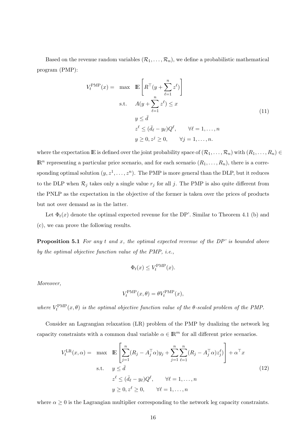Based on the revenue random variables  $(\mathcal{R}_1, \ldots, \mathcal{R}_n)$ , we define a probabilistic mathematical program (PMP):

$$
V_t^{\text{PMP}}(x) = \max \mathbb{E}\left[R^{\top}(y + \sum_{\ell=1}^n z^{\ell})\right]
$$
  
s.t.  $A(y + \sum_{\ell=1}^n z^{\ell}) \le x$   
 $y \le \bar{d}$   
 $z^{\ell} \le (\bar{d}_{\ell} - y_{\ell})Q^{\ell}, \qquad \forall \ell = 1, ..., n$   
 $y \ge 0, z^{j} \ge 0, \qquad \forall j = 1, ..., n.$  (11)

where the expectation E is defined over the joint probability space of  $(\mathcal{R}_1, \ldots, \mathcal{R}_n)$  with  $(R_1, \ldots, R_n) \in$  $\mathbb{R}^n$  representing a particular price scenario, and for each scenario  $(R_1, \ldots, R_n)$ , there is a corresponding optimal solution  $(y, z^1, \ldots, z^n)$ . The PMP is more general than the DLP, but it reduces to the DLP when  $\mathcal{R}_j$  takes only a single value  $r_j$  for all j. The PMP is also quite different from the PNLP as the expectation in the objective of the former is taken over the prices of products but not over demand as in the latter.

Let  $\Phi_t(x)$  denote the optimal expected revenue for the DP'. Similar to Theorem 4.1 (b) and (c), we can prove the following results.

**Proposition 5.1** For any t and x, the optimal expected revenue of the  $DP'$  is bounded above by the optimal objective function value of the PMP, i.e.,

$$
\Phi_t(x) \le V_t^{\text{PMP}}(x).
$$

Moreover,

$$
V_t^{\text{PMP}}(x,\theta) = \theta V_t^{\text{PMP}}(x),
$$

where  $V_t^{\text{PMP}}(x, \theta)$  is the optimal objective function value of the  $\theta$ -scaled problem of the PMP.

Consider an Lagrangian relaxation (LR) problem of the PMP by dualizing the network leg capacity constraints with a common dual variable  $\alpha \in \mathbb{R}^m$  for all different price scenarios.

$$
V_t^{\text{LR}}(x,\alpha) = \max \mathbb{E} \left[ \sum_{j=1}^n (R_j - A_j^\top \alpha) y_j + \sum_{j=1}^n \sum_{\ell=1}^n (R_j - A_j^\top \alpha) z_j^{\ell} \right] + \alpha^\top x
$$
  
s.t.  $y \le \bar{d}$   

$$
z^{\ell} \le (\bar{d}_{\ell} - y_{\ell}) Q^{\ell}, \qquad \forall \ell = 1, ..., n
$$

$$
y \ge 0, z^{\ell} \ge 0, \qquad \forall \ell = 1, ..., n
$$
 (12)

where  $\alpha \geq 0$  is the Lagrangian multiplier corresponding to the network leg capacity constraints.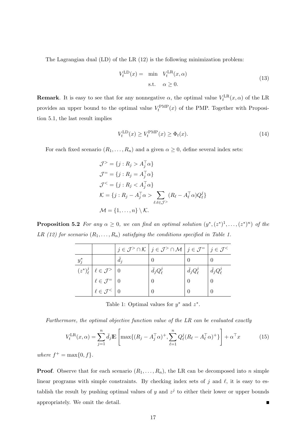The Lagrangian dual  $(LD)$  of the LR  $(12)$  is the following minimization problem:

$$
V_t^{\text{LD}}(x) = \min_{\alpha \ge 0} V_t^{\text{LR}}(x, \alpha) \tag{13}
$$

**Remark**. It is easy to see that for any nonnegative  $\alpha$ , the optimal value  $V_t^{\text{LR}}(x,\alpha)$  of the LR provides an upper bound to the optimal value  $V_t^{\text{PMP}}(x)$  of the PMP. Together with Proposition 5.1, the last result implies

$$
V_t^{\text{LD}}(x) \ge V_t^{\text{PMP}}(x) \ge \Phi_t(x). \tag{14}
$$

For each fixed scenario  $(R_1, \ldots, R_n)$  and a given  $\alpha \geq 0$ , define several index sets:

$$
\mathcal{J}^> = \{j : R_j > A_j^\top \alpha\}
$$
  
\n
$$
\mathcal{J}^= = \{j : R_j = A_j^\top \alpha\}
$$
  
\n
$$
\mathcal{J}^< = \{j : R_j < A_j^\top \alpha\}
$$
  
\n
$$
\mathcal{K} = \{j : R_j - A_j^\top \alpha > \sum_{\ell: \ell \in \mathcal{J}^>} (R_\ell - A_\ell^\top \alpha) Q_\ell^j\}
$$
  
\n
$$
\mathcal{M} = \{1, ..., n\} \setminus \mathcal{K}.
$$

**Proposition 5.2** For any  $\alpha \geq 0$ , we can find an optimal solution  $(y^*, (z^*)^1, \ldots, (z^*)^n)$  of the LR (12) for scenario  $(R_1, \ldots, R_n)$  satisfying the conditions specified in Table 1.

|         |                                               |       | $j \in \mathcal{J}^> \cap \mathcal{K} \mid j \in \mathcal{J}^> \cap \mathcal{M} \mid j \in \mathcal{J}^= \mid j \in \mathcal{J}^<$ |                      |                      |
|---------|-----------------------------------------------|-------|------------------------------------------------------------------------------------------------------------------------------------|----------------------|----------------------|
| $y_i^*$ |                                               | $d_i$ |                                                                                                                                    |                      |                      |
|         | $(z^*)_{\ell}^j   \ell \in \mathcal{J}^>   0$ |       | $\bar{d}_j Q^j_\ell$                                                                                                               | $\bar{d}_j Q_\ell^j$ | $\bar{d}_j Q^j_\ell$ |
|         | $\ell \in \mathcal{J}^=\left 0\right $        |       |                                                                                                                                    |                      |                      |
|         | $\ell \in \mathcal{J}^{\lt}$                  |       |                                                                                                                                    |                      |                      |

Table 1: Optimal values for  $y^*$  and  $z^*$ .

Furthermore, the optimal objective function value of the LR can be evaluated exactly

$$
V_t^{\text{LR}}(x,\alpha) = \sum_{j=1}^n \bar{d}_j \mathbb{E}\left[\max\{(R_j - A_j^\top \alpha)^+, \sum_{\ell=1}^n Q_\ell^j (R_\ell - A_\ell^\top \alpha)^+\}\right] + \alpha^\top x \tag{15}
$$

where  $f^+ = \max\{0, f\}.$ 

**Proof.** Observe that for each scenario  $(R_1, \ldots, R_n)$ , the LR can be decomposed into n simple linear programs with simple constraints. By checking index sets of j and  $\ell$ , it is easy to establish the result by pushing optimal values of y and  $z<sup>j</sup>$  to either their lower or upper bounds appropriately. We omit the detail. Е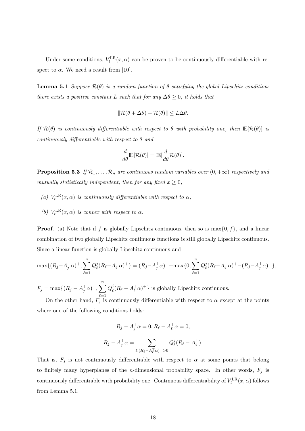Under some conditions,  $V_t^{\text{LR}}(x,\alpha)$  can be proven to be continuously differentiable with respect to  $\alpha$ . We need a result from [10].

**Lemma 5.1** Suppose  $\mathcal{R}(\theta)$  is a random function of  $\theta$  satisfying the global Lipschitz condition: there exists a positive constant L such that for any  $\Delta\theta \geq 0$ , it holds that

$$
\|\mathcal{R}(\theta + \Delta \theta) - \mathcal{R}(\theta)\| \le L\Delta \theta.
$$

If  $\mathcal{R}(\theta)$  is continuously differentiable with respect to  $\theta$  with probability one, then  $\mathbb{E}[\mathcal{R}(\theta)]$  is continuously differentiable with respect to  $\theta$  and

$$
\frac{d}{d\theta}\mathbb{E}[\mathcal{R}(\theta)] = \mathbb{E}[\frac{d}{d\theta}\mathcal{R}(\theta)].
$$

**Proposition 5.3** If  $\mathcal{R}_1, \ldots, \mathcal{R}_n$  are continuous random variables over  $(0, +\infty)$  respectively and mutually statistically independent, then for any fixed  $x \geq 0$ ,

- (a)  $V_t^{\text{LR}}(x,\alpha)$  is continuously differentiable with respect to  $\alpha$ ,
- (b)  $V_t^{\text{LR}}(x,\alpha)$  is convex with respect to  $\alpha$ .

**Proof.** (a) Note that if f is globally Lipschitz continuous, then so is max $\{0, f\}$ , and a linear combination of two globally Lipschitz continuous functions is still globally Lipschitz continuous. Since a linear function is globally Lipschitz continuous and

$$
\max\{(R_j - A_j^\top \alpha)^+, \sum_{\ell=1}^n Q_\ell^j (R_\ell - A_\ell^\top \alpha)^+\} = (R_j - A_j^\top \alpha)^+ + \max\{0, \sum_{\ell=1}^n Q_\ell^j (R_\ell - A_\ell^\top \alpha)^+ - (R_j - A_j^\top \alpha)^+\},
$$
  

$$
F_j = \max\{(R_j - A_j^\top \alpha)^+, \sum_{\ell=1}^n Q_\ell^j (R_\ell - A_\ell^\top \alpha)^+\} \text{ is globally Lipschitz continuous.}
$$

 $_{\ell=1}$  $Q^j_\ell$  $(\ell^j(\mathbb{R}_{\ell} - \mathbb{A}_{\ell}^{\top}\alpha)^+)$  is globally Lipschitz continuous.

On the other hand,  $F_j$  is continuously differentiable with respect to  $\alpha$  except at the points where one of the following conditions holds:

$$
R_j - A_j^\top \alpha = 0, R_\ell - A_\ell^\top \alpha = 0,
$$

$$
R_j - A_j^\top \alpha = \sum_{\ell: (R_\ell - A_\ell^\top \alpha)^+ > 0} Q_\ell^j (R_\ell - A_\ell^\top).
$$

That is,  $F_j$  is not continuously differentiable with respect to  $\alpha$  at some points that belong to finitely many hyperplanes of the *n*-dimensional probability space. In other words,  $F_j$  is continuously differentiable with probability one. Continuous differentiability of  $V_t^{\text{LR}}(x, \alpha)$  follows from Lemma 5.1.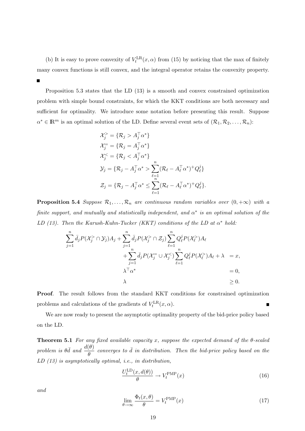(b) It is easy to prove convexity of  $V_t^{\text{LR}}(x,\alpha)$  from (15) by noticing that the max of finitely many convex functions is still convex, and the integral operator retains the convexity property.

 $\blacksquare$ 

Proposition 5.3 states that the LD (13) is a smooth and convex constrained optimization problem with simple bound constraints, for which the KKT conditions are both necessary and sufficient for optimality. We introduce some notation before presenting this result. Suppose  $\alpha^* \in \mathbb{R}^m$  is an optimal solution of the LD. Define several event sets of  $(\mathcal{R}_1, \mathcal{R}_2, \ldots, \mathcal{R}_n)$ :

$$
\mathcal{X}_j^> = \{ \mathcal{R}_j > A_j^\top \alpha^* \}
$$
  
\n
$$
\mathcal{X}_j^= = \{ \mathcal{R}_j = A_j^\top \alpha^* \}
$$
  
\n
$$
\mathcal{X}_j^< = \{ \mathcal{R}_j < A_j^\top \alpha^* \}
$$
  
\n
$$
\mathcal{Y}_j = \{ \mathcal{R}_j - A_j^\top \alpha^* > \sum_{\ell=1}^n (\mathcal{R}_\ell - A_\ell^\top \alpha^*)^+ Q_\ell^j \}
$$
  
\n
$$
\mathcal{Z}_j = \{ \mathcal{R}_j - A_j^\top \alpha^* \le \sum_{\ell=1}^n (\mathcal{R}_\ell - A_\ell^\top \alpha^*)^+ Q_\ell^j \}.
$$

**Proposition 5.4** Suppose  $\mathcal{R}_1, \ldots, \mathcal{R}_n$  are continuous random variables over  $(0, +\infty)$  with a finite support, and mutually and statistically independent, and  $\alpha^*$  is an optimal solution of the LD (13). Then the Karush-Kuhn-Tucker (KKT) conditions of the LD at  $\alpha^*$  hold:

$$
\sum_{j=1}^{n} \bar{d}_{j} P(\mathcal{X}_{j}^{>} \cap \mathcal{Y}_{j}) A_{j} + \sum_{j=1}^{n} \bar{d}_{j} P(\mathcal{X}_{j}^{>} \cap \mathcal{Z}_{j}) \sum_{\ell=1}^{n} Q_{\ell}^{j} P(\mathcal{X}_{\ell}^{>}) A_{\ell}
$$
  
+ 
$$
\sum_{j=1}^{n} \bar{d}_{j} P(\mathcal{X}_{j}^{=} \cup \mathcal{X}_{j}^{<}) \sum_{\ell=1}^{n} Q_{\ell}^{j} P(\mathcal{X}_{\ell}^{>}) A_{\ell} + \lambda = x,
$$
  

$$
\lambda^{\top} \alpha^{*} = 0,
$$
  

$$
\lambda \geq 0.
$$

Proof. The result follows from the standard KKT conditions for constrained optimization problems and calculations of the gradients of  $V_t^{\text{LR}}(x,\alpha)$ .

We are now ready to present the asymptotic optimality property of the bid-price policy based on the LD.

**Theorem 5.1** For any fixed available capacity x, suppose the expected demand of the  $\theta$ -scaled problem is  $\theta\bar{d}$  and  $\frac{d(\theta)}{\theta}$  converges to  $\bar{d}$  in distribution. Then the bid-price policy based on the LD (13) is asymptotically optimal, i.e., in distribution,

$$
\frac{U_t^{\text{LD}}(x, d(\theta))}{\theta} \to V_t^{\text{PMP}}(x)
$$
\n(16)

and

$$
\lim_{\theta \to \infty} \frac{\Phi_t(x,\theta)}{\theta} = V_t^{\text{PMP}}(x)
$$
\n(17)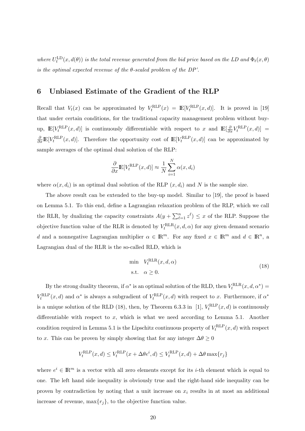where  $U_t^{\text{LD}}(x, d(\theta))$  is the total revenue generated from the bid price based on the LD and  $\Phi_t(x, \theta)$ is the optimal expected revenue of the  $\theta$ -scaled problem of the DP'.

# 6 Unbiased Estimate of the Gradient of the RLP

Recall that  $V_t(x)$  can be approximated by  $V_t^{RLP}(x) = \mathbb{E}[V_t^{RLP}(x,d)]$ . It is proved in [19] that under certain conditions, for the traditional capacity management problem without buyup,  $\mathbb{E}[V_t^{\text{RLP}}(x, d)]$  is continuously differentiable with respect to x and  $\mathbb{E}[\frac{\partial}{\partial x}V_t^{\text{RLP}}(x, d)] =$  $\frac{\partial}{\partial x} \mathbb{E}[V_t^{\text{RLP}}(x, d)]$ . Therefore the opportunity cost of  $\mathbb{E}[V_t^{\text{RLP}}(x, d)]$  can be approximated by sample averages of the optimal dual solution of the RLP:

$$
\frac{\partial}{\partial x} \mathbb{E}[V_t^{\text{RLP}}(x, d)] \approx \frac{1}{N} \sum_{i=1}^N \alpha(x, d_i)
$$

where  $\alpha(x, d_i)$  is an optimal dual solution of the RLP  $(x, d_i)$  and N is the sample size.

The above result can be extended to the buy-up model. Similar to [19], the proof is based on Lemma 5.1. To this end, define a Lagrangian relaxation problem of the RLP, which we call the RLR, by dualizing the capacity constraints  $A(y + \sum_{\ell=1}^n z^{\ell}) \leq x$  of the RLP. Suppose the objective function value of the RLR is denoted by  $V_t^{RLR}(x, d, \alpha)$  for any given demand scenario d and a nonnegative Lagrangian multiplier  $\alpha \in \mathbb{R}^m$ . For any fixed  $x \in \mathbb{R}^m$  and  $d \in \mathbb{R}^n$ , a Lagrangian dual of the RLR is the so-called RLD, which is

$$
\min \quad V_t^{\text{RLR}}(x, d, \alpha) \n\text{s.t.} \quad \alpha \ge 0.
$$
\n(18)

By the strong duality theorem, if  $\alpha^*$  is an optimal solution of the RLD, then  $V_t^{RLR}(x, d, \alpha^*)$  $V_t^{\text{RLP}}(x, d)$  and  $\alpha^*$  is always a subgradient of  $V_t^{\text{RLP}}(x, d)$  with respect to x. Furthermore, if  $\alpha^*$ is a unique solution of the RLD (18), then, by Theorem 6.3.3 in [1],  $V_t^{RLP}(x, d)$  is continuously differentiable with respect to  $x$ , which is what we need according to Lemma 5.1. Another condition required in Lemma 5.1 is the Lipschitz continuous property of  $V_t^{\text{RLP}}(x, d)$  with respect to x. This can be proven by simply showing that for any integer  $\Delta\theta \geq 0$ 

$$
V_t^{\text{RLP}}(x, d) \le V_t^{\text{RLP}}(x + \Delta \theta e^i, d) \le V_t^{\text{RLP}}(x, d) + \Delta \theta \max\{r_j\}
$$

where  $e^i \in \mathbb{R}^m$  is a vector with all zero elements except for its *i*-th element which is equal to one. The left hand side inequality is obviously true and the right-hand side inequality can be proven by contradiction by noting that a unit increase on  $x_i$  results in at most an additional increase of revenue,  $\max\{r_j\}$ , to the objective function value.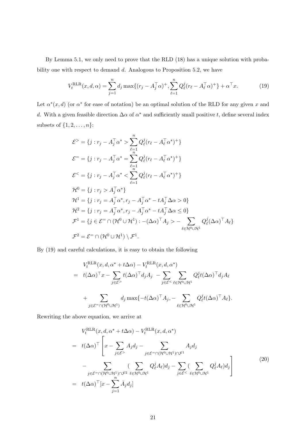By Lemma 5.1, we only need to prove that the RLD (18) has a unique solution with probability one with respect to demand d. Analogous to Proposition 5.2, we have

$$
V_t^{\text{RLR}}(x, d, \alpha) = \sum_{j=1}^n d_j \max \{ (r_j - A_j^\top \alpha)^+, \sum_{\ell=1}^n Q_\ell^j (r_\ell - A_\ell^\top \alpha)^+ \} + \alpha^\top x. \tag{19}
$$

Let  $\alpha^*(x, d)$  (or  $\alpha^*$  for ease of notation) be an optimal solution of the RLD for any given x and d. With a given feasible direction  $\Delta \alpha$  of  $\alpha^*$  and sufficiently small positive t, define several index subsets of  $\{1, 2, \ldots, n\}$ :

$$
\mathcal{E}^{\geq} = \{j : r_j - A_j^{\top} \alpha^* > \sum_{\ell=1}^n Q_{\ell}^j (r_{\ell} - A_{\ell}^{\top} \alpha^*)^+\}
$$
  
\n
$$
\mathcal{E}^{\equiv} = \{j : r_j - A_j^{\top} \alpha^* = \sum_{\ell=1}^n Q_{\ell}^j (r_{\ell} - A_{\ell}^{\top} \alpha^*)^+\}
$$
  
\n
$$
\mathcal{E}^{\leq} = \{j : r_j - A_j^{\top} \alpha^* < \sum_{\ell=1}^n Q_{\ell}^j (r_{\ell} - A_{\ell}^{\top} \alpha^*)^+\}
$$
  
\n
$$
\mathcal{H}^0 = \{j : r_j > A_j^{\top} \alpha^*\}
$$
  
\n
$$
\mathcal{H}^1 = \{j : r_j = A_j^{\top} \alpha^*, r_j - A_j^{\top} \alpha^* - t A_j^{\top} \Delta \alpha > 0\}
$$
  
\n
$$
\mathcal{H}^2 = \{j : r_j = A_j^{\top} \alpha^*, r_j - A_j^{\top} \alpha^* - t A_j^{\top} \Delta \alpha \leq 0\}
$$
  
\n
$$
\mathcal{F}^1 = \{j \in \mathcal{E}^{\equiv} \cap (\mathcal{H}^0 \cup \mathcal{H}^1) : -(\Delta \alpha)^{\top} A_j > - \sum_{\ell \in \mathcal{H}^0 \cup \mathcal{H}^1} Q_{\ell}^j (\Delta \alpha)^{\top} A_{\ell}\}
$$
  
\n
$$
\mathcal{F}^2 = \mathcal{E}^{\equiv} \cap (\mathcal{H}^0 \cup \mathcal{H}^1) \setminus \mathcal{F}^1.
$$

By (19) and careful calculations, it is easy to obtain the following

$$
V_t^{\text{RLR}}(x, d, \alpha^* + t\Delta\alpha) - V_t^{\text{RLR}}(x, d, \alpha^*)
$$
  
=  $t(\Delta\alpha)^{\top} x - \sum_{j \in \mathcal{E}^>} t(\Delta\alpha)^{\top} d_j A_j - \sum_{j \in \mathcal{E}^<} \sum_{\ell \in \mathcal{H}^0 \cup \mathcal{H}^1} Q_{\ell}^j t(\Delta\alpha)^{\top} d_j A_{\ell}$   
+ 
$$
\sum_{j \in \mathcal{E}^= \cap (\mathcal{H}^0 \cup \mathcal{H}^1)} d_j \max \{-t(\Delta\alpha)^{\top} A_j, - \sum_{\ell \in \mathcal{H}^0 \cup \mathcal{H}^1} Q_{\ell}^j t(\Delta\alpha)^{\top} A_{\ell} \}.
$$

Rewriting the above equation, we arrive at

$$
V_t^{\text{RLR}}(x, d, \alpha^* + t\Delta\alpha) - V_t^{\text{RLR}}(x, d, \alpha^*)
$$
  
=  $t(\Delta\alpha)^{\top} \left[ x - \sum_{j \in \mathcal{E}^>} A_j d_j - \sum_{j \in \mathcal{E}^= \cap (\mathcal{H}^0 \cup \mathcal{H}^1) \cap \mathcal{F}^1} A_j d_j - \sum_{j \in \mathcal{E}^= \cap (\mathcal{H}^0 \cup \mathcal{H}^1) \cap \mathcal{F}^2} \sum_{\ell \in \mathcal{H}^0 \cup \mathcal{H}^1} Q_{\ell}^j A_{\ell} d_j - \sum_{j \in \mathcal{E}^<} \left( \sum_{\ell \in \mathcal{H}^0 \cup \mathcal{H}^1} Q_{\ell}^j A_{\ell} d_j \right) \right]$ (20)  
=  $t(\Delta\alpha)^{\top} [x - \sum_{j=1}^n \bar{A}_j d_j]$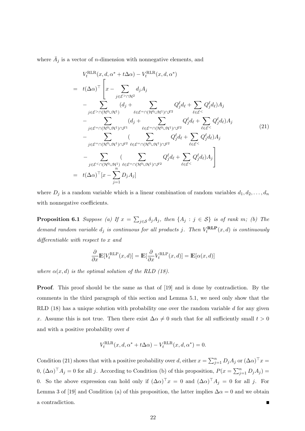where  $\overline{A}_j$  is a vector of *n*-dimension with nonnegative elements, and

$$
V_t^{\text{RLR}}(x, d, \alpha^* + t\Delta\alpha) - V_t^{\text{RLR}}(x, d, \alpha^*)
$$
\n
$$
= t(\Delta\alpha)^{\top} \left[ x - \sum_{j \in \mathcal{E}^> \cap \mathcal{H}^2} d_j A_j - \sum_{j \in \mathcal{E}^> \cap (\mathcal{H}^0 \cup \mathcal{H}^1)} (d_j + \sum_{\ell \in \mathcal{E}^= \cap (\mathcal{H}^0 \cup \mathcal{H}^1) \cap \mathcal{F}^2} Q_j^{\ell} d_{\ell} + \sum_{\ell \in \mathcal{E}^<} Q_j^{\ell} d_{\ell} A_j - \sum_{j \in \mathcal{E}^= \cap (\mathcal{H}^0 \cup \mathcal{H}^1) \cap \mathcal{F}^1} (d_j + \sum_{\ell \in \mathcal{E}^= \cap (\mathcal{H}^0 \cup \mathcal{H}^1) \cap \mathcal{F}^2} Q_j^{\ell} d_{\ell} + \sum_{\ell \in \mathcal{E}^<} Q_j^{\ell} d_{\ell} A_j - \sum_{j \in \mathcal{E}^= \cap (\mathcal{H}^0 \cup \mathcal{H}^1) \cap \mathcal{F}^2} (c_j - \sum_{j \in \mathcal{E}^= \cap (\mathcal{H}^0 \cup \mathcal{H}^1) \cap \mathcal{F}^2} Q_j^{\ell} d_{\ell} + \sum_{\ell \in \mathcal{E}^<} Q_j^{\ell} d_{\ell} A_j - \sum_{j \in \mathcal{E}^< \cap (\mathcal{H}^0 \cup \mathcal{H}^1) \cap \mathcal{F}^2} (\sum_{\ell \in \mathcal{E}^= \cap (\mathcal{H}^0 \cup \mathcal{H}^1) \cap \mathcal{F}^2} Q_j^{\ell} d_{\ell} + \sum_{\ell \in \mathcal{E}^<} Q_j^{\ell} d_{\ell} A_j \right]
$$
\n
$$
= t(\Delta\alpha)^{\top} [x - \sum_{j=1}^n D_j A_j]
$$

where  $D_j$  is a random variable which is a linear combination of random variables  $d_1, d_2, \ldots, d_n$ with nonnegative coefficients.

**Proposition 6.1** Suppose (a) If  $x = \sum_{j \in S} \delta_j A_j$ , then  $\{A_j : j \in S\}$  is of rank m; (b) The demand random variable  $d_j$  is continuous for all products j. Then  $V_t^{\text{RLP}}(x, d)$  is continuously differentiable with respect to x and

$$
\frac{\partial}{\partial x}\mathbb{E}[V_t^{\text{RLP}}(x, d)] = \mathbb{E}[\frac{\partial}{\partial x}V_t^{\text{RLP}}(x, d)] = \mathbb{E}[\alpha(x, d)]
$$

where  $\alpha(x, d)$  is the optimal solution of the RLD (18).

Proof. This proof should be the same as that of [19] and is done by contradiction. By the comments in the third paragraph of this section and Lemma 5.1, we need only show that the RLD  $(18)$  has a unique solution with probability one over the random variable d for any given x. Assume this is not true. Then there exist  $\Delta \alpha \neq 0$  such that for all sufficiently small  $t > 0$ and with a positive probability over d

$$
V_t^{\text{RLR}}(x, d, \alpha^* + t\Delta\alpha) - V_t^{\text{RLR}}(x, d, \alpha^*) = 0.
$$

Condition (21) shows that with a positive probability over d, either  $x = \sum_{j=1}^{n} D_j A_j$  or  $(\Delta \alpha)^{\top} x =$ 0,  $(Δα)^{\top} A_j = 0$  for all j. According to Condition (b) of this proposition,  $P(x = \sum_{j=1}^n D_j A_j) =$ 0. So the above expression can hold only if  $(\Delta \alpha)^{\top} x = 0$  and  $(\Delta \alpha)^{\top} A_j = 0$  for all j. For Lemma 3 of [19] and Condition (a) of this proposition, the latter implies  $\Delta \alpha = 0$  and we obtain a contradiction. Е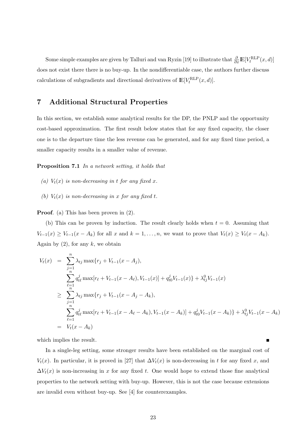Some simple examples are given by Talluri and van Ryzin [19] to illustrate that  $\frac{\partial}{\partial x} \mathbb{E}[V_t^{\text{RLP}}(x,d)]$ does not exist there there is no buy-up. In the nondifferentiable case, the authors further discuss calculations of subgradients and directional derivatives of  $\mathbb{E}[V_t^{\text{RLP}}(x, d)]$ .

# 7 Additional Structural Properties

In this section, we establish some analytical results for the DP, the PNLP and the opportunity cost-based approximation. The first result below states that for any fixed capacity, the closer one is to the departure time the less revenue can be generated, and for any fixed time period, a smaller capacity results in a smaller value of revenue.

Proposition 7.1 In a network setting, it holds that

- (a)  $V_t(x)$  is non-decreasing in t for any fixed x.
- (b)  $V_t(x)$  is non-decreasing in x for any fixed t.

Proof. (a) This has been proven in (2).

(b) This can be proven by induction. The result clearly holds when  $t = 0$ . Assuming that  $V_{t-1}(x) \geq V_{t-1}(x - A_k)$  for all x and  $k = 1, \ldots, n$ , we want to prove that  $V_t(x) \geq V_t(x - A_k)$ . Again by  $(2)$ , for any k, we obtain

$$
V_t(x) = \sum_{\substack{j=1 \ j=1}}^n \lambda_{tj} \max\{r_j + V_{t-1}(x - A_j),
$$
  

$$
\sum_{\substack{\ell=1 \ k=1}}^n q_{t\ell}^j \max[r_{\ell} + V_{t-1}(x - A_{\ell}), V_{t-1}(x)] + q_{t0}^j V_{t-1}(x)\} + \lambda_{tj}^0 V_{t-1}(x)
$$
  

$$
\geq \sum_{\substack{j=1 \ j=1}}^n \lambda_{tj} \max\{r_j + V_{t-1}(x - A_j - A_k),
$$
  

$$
\sum_{\ell=1}^n q_{t\ell}^j \max[r_{\ell} + V_{t-1}(x - A_{\ell} - A_k), V_{t-1}(x - A_k)] + q_{t0}^j V_{t-1}(x - A_k)\} + \lambda_{tj}^0 V_{t-1}(x - A_k)
$$
  

$$
= V_t(x - A_k)
$$

which implies the result.

In a single-leg setting, some stronger results have been established on the marginal cost of  $V_t(x)$ . In particular, it is proved in [27] that  $\Delta V_t(x)$  is non-decreasing in t for any fixed x, and  $\Delta V_t(x)$  is non-increasing in x for any fixed t. One would hope to extend those fine analytical properties to the network setting with buy-up. However, this is not the case because extensions are invalid even without buy-up. See [4] for counterexamples.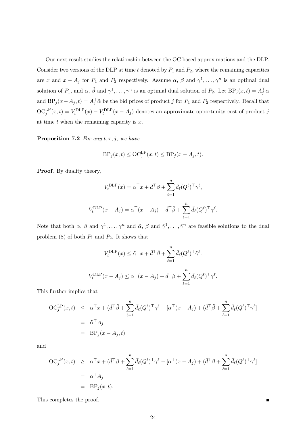Our next result studies the relationship between the OC based approximations and the DLP. Consider two versions of the DLP at time t denoted by  $P_1$  and  $P_2$ , where the remaining capacities are x and  $x - A_j$  for  $P_1$  and  $P_2$  respectively. Assume  $\alpha$ ,  $\beta$  and  $\gamma^1, \ldots, \gamma^n$  is an optimal dual solution of  $P_1$ , and  $\tilde{\alpha}$ ,  $\tilde{\beta}$  and  $\tilde{\gamma}^1, \ldots, \tilde{\gamma}^n$  is an optimal dual solution of  $P_2$ . Let  $BP_j(x, t) = A_j^{\top} \alpha$ and BP<sub>j</sub> $(x - A_j, t) = A_j^\top \tilde{\alpha}$  be the bid prices of product j for  $P_1$  and  $P_2$  respectively. Recall that  $\mathrm{OC}_j^{\mathrm{LP}}(x,t) = V_t^{\mathrm{DLP}}(x) - V_t^{\mathrm{DLP}}(x - A_j)$  denotes an approximate opportunity cost of product j at time  $t$  when the remaining capacity is  $x$ .

**Proposition 7.2** For any  $t, x, j$ , we have

$$
BP_j(x,t) \le OC_j^{LP}(x,t) \le BP_j(x-A_j,t).
$$

Proof. By duality theory,

$$
V_t^{\text{DLP}}(x) = \alpha^{\top} x + \bar{d}^{\top} \beta + \sum_{\ell=1}^n \bar{d}_{\ell} (Q^{\ell})^{\top} \gamma^{\ell},
$$
  

$$
V_t^{\text{DLP}}(x - A_j) = \tilde{\alpha}^{\top} (x - A_j) + \bar{d}^{\top} \tilde{\beta} + \sum_{\ell=1}^n \bar{d}_{\ell} (Q^{\ell})^{\top} \tilde{\gamma}^{\ell}.
$$

Note that both  $\alpha$ ,  $\beta$  and  $\gamma^1, \ldots, \gamma^n$  and  $\tilde{\alpha}$ ,  $\tilde{\beta}$  and  $\tilde{\gamma}^1, \ldots, \tilde{\gamma}^n$  are feasible solutions to the dual problem  $(8)$  of both  $P_1$  and  $P_2$ . It shows that

$$
V_t^{\text{DLP}}(x) \leq \tilde{\alpha}^{\top} x + \bar{d}^{\top} \tilde{\beta} + \sum_{\ell=1}^n \bar{d}_{\ell} (Q^{\ell})^{\top} \tilde{\gamma}^{\ell}.
$$
  

$$
V_t^{\text{DLP}}(x - A_j) \leq \alpha^{\top} (x - A_j) + \bar{d}^{\top} \beta + \sum_{\ell=1}^n \bar{d}_{\ell} (Q^{\ell})^{\top} \gamma^{\ell}.
$$

This further implies that

$$
OC_j^{LP}(x,t) \leq \tilde{\alpha}^\top x + (\bar{d}^\top \tilde{\beta} + \sum_{\ell=1}^n \bar{d}_\ell (Q^\ell)^\top \tilde{\gamma}^\ell - [\tilde{\alpha}^\top (x - A_j) + (\bar{d}^\top \tilde{\beta} + \sum_{\ell=1}^n \bar{d}_\ell (Q^\ell)^\top \tilde{\gamma}^\ell]
$$
  
=  $\tilde{\alpha}^\top A_j$   
=  $BP_j(x - A_j, t)$ 

and

$$
OC_j^{LP}(x,t) \geq \alpha^{\top} x + (\bar{d}^{\top} \beta + \sum_{\ell=1}^n \bar{d}_{\ell} (Q^{\ell})^{\top} \gamma^{\ell} - [\alpha^{\top} (x - A_j) + (\bar{d}^{\top} \beta + \sum_{\ell=1}^n \bar{d}_{\ell} (Q^{\ell})^{\top} \gamma^{\ell}]
$$
  
=  $\alpha^{\top} A_j$   
=  $BP_j(x,t)$ .

This completes the proof.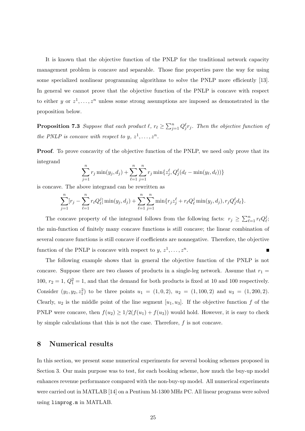It is known that the objective function of the PNLP for the traditional network capacity management problem is concave and separable. Those fine properties pave the way for using some specialized nonlinear programming algorithms to solve the PNLP more efficiently [13]. In general we cannot prove that the objective function of the PNLP is concave with respect to either y or  $z^1, \ldots, z^n$  unless some strong assumptions are imposed as demonstrated in the proposition below.

**Proposition 7.3** Suppose that each product  $\ell, r_{\ell} \geq \sum_{j=1}^{n} Q_j^{\ell} r_j$ . Then the objective function of the PNLP is concave with respect to  $y, z^1, \ldots, z^n$ .

**Proof.** To prove concavity of the objective function of the PNLP, we need only prove that its integrand

$$
\sum_{j=1}^{n} r_j \min(y_j, d_j) + \sum_{\ell=1}^{n} \sum_{j=1}^{n} r_j \min\{z_j^{\ell}, Q_j^{\ell}(d_{\ell} - \min(y_{\ell}, d_{\ell}))\}
$$

is concave. The above integrand can be rewritten as

$$
\sum_{j=1}^{n} [r_j - \sum_{\ell=1}^{n} r_{\ell} Q_{\ell}^{j}] \min(y_j, d_j) + \sum_{\ell=1}^{n} \sum_{j=1}^{n} \min\{r_j z_j^{\ell} + r_{\ell} Q_{\ell}^{j} \min(y_j, d_j), r_j Q_{j}^{\ell} d_{\ell}\}.
$$

The concave property of the integrand follows from the following facts:  $r_j \geq \sum_{\ell=1}^n r_\ell Q_\ell^j$  $_{\ell}^{j}.$ the min-function of finitely many concave functions is still concave; the linear combination of several concave functions is still concave if coefficients are nonnegative. Therefore, the objective function of the PNLP is concave with respect to  $y, z^1, \ldots, z^n$ .

The following example shows that in general the objective function of the PNLP is not concave. Suppose there are two classes of products in a single-leg network. Assume that  $r_1 =$ 100,  $r_2 = 1$ ,  $Q_1^2 = 1$ , and that the demand for both products is fixed at 10 and 100 respectively. Consider  $(y_1, y_2, z_1^2)$  to be three points  $u_1 = (1, 0, 2), u_2 = (1, 100, 2)$  and  $u_3 = (1, 200, 2)$ . Clearly,  $u_2$  is the middle point of the line segment  $[u_1, u_3]$ . If the objective function f of the PNLP were concave, then  $f(u_2) \geq 1/2(f(u_1) + f(u_3))$  would hold. However, it is easy to check by simple calculations that this is not the case. Therefore,  $f$  is not concave.

# 8 Numerical results

In this section, we present some numerical experiments for several booking schemes proposed in Section 3. Our main purpose was to test, for each booking scheme, how much the buy-up model enhances revenue performance compared with the non-buy-up model. All numerical experiments were carried out in MATLAB [14] on a Pentium M-1300 MHz PC. All linear programs were solved using linprog.m in MATLAB.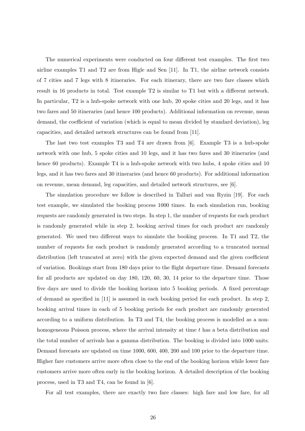The numerical experiments were conducted on four different test examples. The first two airline examples T1 and T2 are from Higle and Sen [11]. In T1, the airline network consists of 7 cities and 7 legs with 8 itineraries. For each itinerary, there are two fare classes which result in 16 products in total. Test example T2 is similar to T1 but with a different network. In particular, T2 is a hub-spoke network with one hub, 20 spoke cities and 20 legs, and it has two fares and 50 itineraries (and hence 100 products). Additional information on revenue, mean demand, the coefficient of variation (which is equal to mean divided by standard deviation), leg capacities, and detailed network structures can be found from [11].

The last two test examples T3 and T4 are drawn from [6]. Example T3 is a hub-spoke network with one hub, 5 spoke cities and 10 legs, and it has two fares and 30 itineraries (and hence 60 products). Example T4 is a hub-spoke network with two hubs, 4 spoke cities and 10 legs, and it has two fares and 30 itineraries (and hence 60 products). For additional information on revenue, mean demand, leg capacities, and detailed network structures, see [6].

The simulation procedure we follow is described in Talluri and van Ryzin [19]. For each test example, we simulated the booking process 1000 times. In each simulation run, booking requests are randomly generated in two steps. In step 1, the number of requests for each product is randomly generated while in step 2, booking arrival times for each product are randomly generated. We used two different ways to simulate the booking process. In T1 and T2, the number of requests for each product is randomly generated according to a truncated normal distribution (left truncated at zero) with the given expected demand and the given coefficient of variation. Bookings start from 180 days prior to the flight departure time. Demand forecasts for all products are updated on day 180, 120, 60, 30, 14 prior to the departure time. Those five days are used to divide the booking horizon into 5 booking periods. A fixed percentage of demand as specified in [11] is assumed in each booking period for each product. In step 2, booking arrival times in each of 5 booking periods for each product are randomly generated according to a uniform distribution. In T3 and T4, the booking process is modelled as a nonhomogeneous Poisson process, where the arrival intensity at time t has a beta distribution and the total number of arrivals has a gamma distribution. The booking is divided into 1000 units. Demand forecasts are updated on time 1000, 600, 400, 200 and 100 prior to the departure time. Higher fare customers arrive more often close to the end of the booking horizon while lower fare customers arrive more often early in the booking horizon. A detailed description of the booking process, used in T3 and T4, can be found in [6].

For all test examples, there are exactly two fare classes: high fare and low fare, for all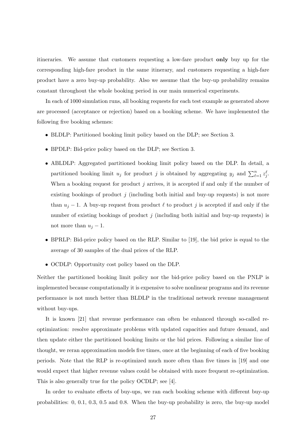itineraries. We assume that customers requesting a low-fare product only buy up for the corresponding high-fare product in the same itinerary, and customers requesting a high-fare product have a zero buy-up probability. Also we assume that the buy-up probability remains constant throughout the whole booking period in our main numerical experiments.

In each of 1000 simulation runs, all booking requests for each test example as generated above are processed (acceptance or rejection) based on a booking scheme. We have implemented the following five booking schemes:

- BLDLP: Partitioned booking limit policy based on the DLP; see Section 3.
- BPDLP: Bid-price policy based on the DLP; see Section 3.
- ABLDLP: Aggregated partitioned booking limit policy based on the DLP. In detail, a partitioned booking limit  $u_j$  for product j is obtained by aggregating  $y_j$  and  $\sum_{\ell=1}^n z_j^{\ell}$ . When a booking request for product  $j$  arrives, it is accepted if and only if the number of existing bookings of product  $j$  (including both initial and buy-up requests) is not more than  $u_j - 1$ . A buy-up request from product  $\ell$  to product j is accepted if and only if the number of existing bookings of product  $j$  (including both initial and buy-up requests) is not more than  $u_j - 1$ .
- BPRLP: Bid-price policy based on the RLP. Similar to [19], the bid price is equal to the average of 30 samples of the dual prices of the RLP.
- OCDLP: Opportunity cost policy based on the DLP.

Neither the partitioned booking limit policy nor the bid-price policy based on the PNLP is implemented because computationally it is expensive to solve nonlinear programs and its revenue performance is not much better than BLDLP in the traditional network revenue management without buy-ups.

It is known [21] that revenue performance can often be enhanced through so-called reoptimization: resolve approximate problems with updated capacities and future demand, and then update either the partitioned booking limits or the bid prices. Following a similar line of thought, we reran approximation models five times, once at the beginning of each of five booking periods. Note that the RLP is re-optimized much more often than five times in [19] and one would expect that higher revenue values could be obtained with more frequent re-optimization. This is also generally true for the policy OCDLP; see [4].

In order to evaluate effects of buy-ups, we ran each booking scheme with different buy-up probabilities: 0, 0.1, 0.3, 0.5 and 0.8. When the buy-up probability is zero, the buy-up model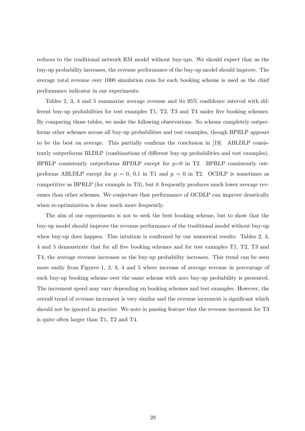reduces to the traditional network RM model without buy-ups. We should expect that as the buy-up probability increases, the revenue performance of the buy-up model should improve. The average total revenue over 1000 simulation runs for each booking scheme is used as the chief performance indicator in our experiments.

Tables 2, 3, 4 and 5 summarize average revenue and its 95% confidence interval with different buy-up probabilities for test examples T1, T2, T3 and T4 under five booking schemes. By comparing those tables, we make the following observations. No scheme completely outperforms other schemes across all buy-up probabilities and test examples, though BPRLP appears to be the best on average. This partially confirms the conclusion in [19]. ABLDLP consistently outperforms BLDLP (combinations of different buy-up probabilities and test examples). BPRLP consistently outperforms BPDLP except for  $p=0$  in T2. BPRLP consistently outperforms ABLDLP except for  $p = 0$ , 0.1 in T1 and  $p = 0$  in T2. OCDLP is sometimes as competitive as BPRLP (for example in T3), but it frequently produces much lower average revenues than other schemes. We conjecture that performance of OCDLP can improve drastically when re-optimization is done much more frequently.

The aim of our experiments is not to seek the best booking scheme, but to show that the buy-up model should improve the revenue performance of the traditional model without buy-up when buy-up does happen. This intuition is confirmed by our numerical results. Tables 2, 3, 4 and 5 demonstrate that for all five booking schemes and for test examples T1, T2, T3 and T4, the average revenue increases as the buy-up probability increases. This trend can be seen more easily from Figures 1, 2, 3, 4 and 5 where increase of average revenue in percentage of each buy-up booking scheme over the same scheme with zero buy-up probability is presented. The increment speed may vary depending on booking schemes and test examples. However, the overall trend of revenue increment is very similar and the revenue increment is significant which should not be ignored in practice. We note in passing feature that the revenue increment for T3 is quite often larger than T1, T2 and T4.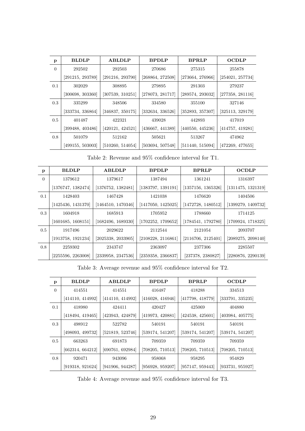| p        | <b>BLDLP</b>     | <b>ABLDLP</b>    | <b>BPDLP</b>     | <b>BPRLP</b>     | OCDLP            |
|----------|------------------|------------------|------------------|------------------|------------------|
| $\Omega$ | 292502           | 292503           | 270686           | 275315           | 255878           |
|          | [291215, 293789] | [291216, 293790] | [268864, 272508] | [273664, 276966] | [254021, 257734] |
| 0.1      | 302029           | 308895           | 279895           | 291303           | 279237           |
|          | [300698, 303360] | [307539, 310251] | [278073, 281717] | [289574, 293032] | [277358, 281116] |
| 0.3      | 335299           | 348506           | 334580           | 355100           | 327146           |
|          | [333734, 336864] | [346837, 350175] | [332634, 336526] | [352893, 357307] | [325113, 329179] |
| 0.5      | 401487           | 422321           | 439028           | 442893           | 417019           |
|          | [399488, 403486] | [420121, 424521] | [436667, 441389] | [440550, 445236] | [414757, 419281] |
| 0.8      | 501079           | 512162           | 505621           | 513267           | 474962           |
|          | [499155, 503003] | [510260, 514054] | [503694, 507548] | [511440, 515094] | [472269, 477655] |

Table 2: Revenue and 95% confidence interval for T1.

| p        | <b>BLDLP</b>       | <b>ABLDLP</b>      | <b>BPDLP</b>       | <b>BPRLP</b>       | <b>OCDLP</b>       |
|----------|--------------------|--------------------|--------------------|--------------------|--------------------|
| $\Omega$ | 1379612            | 1379617            | 1387494            | 1361241            | 1316397            |
|          | [1376747, 1382474] | [1376752, 1382481] | [1383797, 1391191] | [1357156, 1365326] | [1311475, 1321319] |
| 0.1      | 1428403            | 1467428            | 1421038            | 1476620            | 1404506            |
|          | [1425436, 1431370] | [1464510, 1470346] | [1417050, 1425025] | [1472728, 1480512] | [1399279, 1409732] |
| 0.3      | 1604918            | 1685913            | 1705952            | 1788660            | 1714125            |
|          | [1601685, 1608151] | [1682496, 1689330] | [1702252, 1709652] | [1784541, 1792780] | [1709924, 1718325] |
| 0.5      | 1917496            | 2029622            | 2112544            | 2121054            | 2093707            |
|          | [1913758, 1921234] | [2025338, 2033905] | [2108228, 2116861] | [2116706, 2125401] | [2089275, 2098140] |
| 0.8      | 2259302            | 2343747            | 2363097            | 2377306            | 2285507            |
|          | [2255596, 2263008] | [2339958, 2347536] | [2359358, 2366837] | [237378, 2380827]  | [2280876, 2290139] |

Table 3: Average revenue and 95% confidence interval for T2.

| p        | <b>BLDLP</b>     | <b>ABLDLP</b>    | <b>BPDLP</b>     | <b>BPRLP</b>     | <b>OCDLP</b>     |
|----------|------------------|------------------|------------------|------------------|------------------|
| $\Omega$ | 414551           | 414551           | 416487           | 418288           | 334513           |
|          | [414110, 414992] | [414110, 414992] | [416028, 416946] | [417798, 418779] | [333791, 335235] |
| 0.1      | 418980           | 424411           | 420427           | 425069           | 404880           |
|          | [418494, 419465] | [423943, 424879] | [419973, 420881] | [424538, 425601] | [403984, 405775] |
| 0.3      | 498912           | 522782           | 540191           | 540191           | 540191           |
|          | [498093, 499732] | [521819, 523746] | [539174, 541207] | [539174, 541207] | [539174, 541207] |
| 0.5      | 663263           | 691873           | 709359           | 709359           | 709359           |
|          | [662314, 664212] | [690761, 692984] | [708205, 710513] | [708205, 710513] | [708205, 710513] |
| 0.8      | 920471           | 943096           | 958068           | 958295           | 954829           |
|          | [919318, 921624] | [941906, 944287] | [956928, 959207] | [957147, 959443] | [933731, 955927] |

Table 4: Average revenue and 95% confidence interval for T3.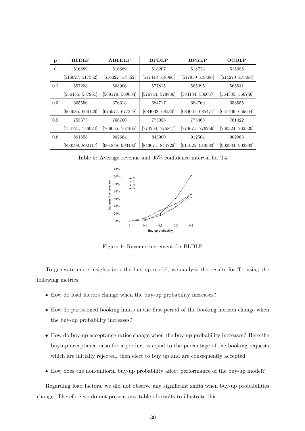| p        | <b>BLDLP</b>     | <b>ABLDLP</b>    | <b>BPDLP</b>     | <b>BPRLP</b>     | OCDLP            |
|----------|------------------|------------------|------------------|------------------|------------------|
| $\Omega$ | 516689           | 516689           | 518207           | 518723           | 515085           |
|          | [516027, 517352] | [516027 517352]  | [517448 518966]  | [517959 519496]  | [514279 519496]  |
| 0.1      | 557208           | 568906           | 577815           | 585095           | 565541           |
|          | [556455, 557961] | [568178, 569634] | [576744, 578886] | [584134, 586057] | [564335, 566746] |
| 0.3      | 665556           | 676613           | 684717           | 684769           | 658555           |
|          | [664985, 666126] | [675977, 677248] | [684038, 68536]  | [684067, 685471] | [657466, 659644] |
| 0.5      | 755373           | 766760           | 775056           | 775465           | 761422           |
|          | [754721, 756024] | [766055, 767465] | [774264, 775847] | [774671, 776259] | [760324, 762520] |
| 0.8      | 891358           | 902664           | 843900           | 912504           | 902963           |
|          | [890598, 892117] | [901848, 903480] | [843071, 844729] | [911625, 913383] | [902934, 903893] |

Table 5: Average revenue and 95% confidence interval for T4.



Figure 1: Revenue increment for BLDLP.

To generate more insights into the buy-up model, we analyze the results for T1 using the following metrics:

- How do load factors change when the buy-up probability increases?
- How do partitioned booking limits in the first period of the booking horizon change when the buy-up probability increases?
- How do buy-up acceptance ratios change when the buy-up probability increases? Here the buy-up acceptance ratio for a product is equal to the percentage of the booking requests which are initially rejected, then elect to buy up and are consequently accepted.
- How does the non-uniform buy-up probability affect performance of the buy-up model?

Regarding load factors, we did not observe any significant shifts when buy-up probabilities change. Therefore we do not present any table of results to illustrate this.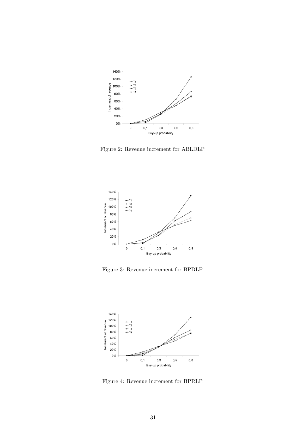

Figure 2: Revenue increment for ABLDLP.



Figure 3: Revenue increment for BPDLP.



Figure 4: Revenue increment for BPRLP.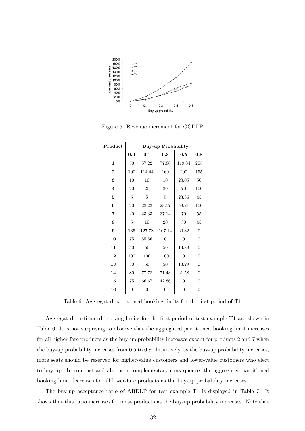

Figure 5: Revenue increment for OCDLP.

| Product                 | <b>Buy-up Probability</b> |                |                |                |                |  |
|-------------------------|---------------------------|----------------|----------------|----------------|----------------|--|
|                         | 0.0                       | 0.1            | 0.3            | 0.5            | 0.8            |  |
| $\mathbf{1}$            | 50                        | 57.22          | 77.86          | 119.84         | 205            |  |
| $\overline{2}$          | 100                       | 114.44         | 160            | 200            | 155            |  |
| 3                       | 10                        | 10             | 10             | 28.05          | 50             |  |
| $\overline{\mathbf{4}}$ | 20                        | 20             | 20             | 70             | 100            |  |
| 5                       | $\overline{5}$            | 5              | 5              | 23.36          | 45             |  |
| 6                       | 20                        | 22.22          | 28.57          | 59.21          | 100            |  |
| 7                       | 20                        | 23.33          | 37.14          | 70             | 55             |  |
| 8                       | $\overline{5}$            | 10             | 20             | 30             | 45             |  |
| 9                       | 135                       | 127.78         | 107.14         | 60.32          | $\overline{0}$ |  |
| 10                      | 75                        | 55.56          | $\overline{0}$ | $\overline{0}$ | $\overline{0}$ |  |
| 11                      | 50                        | 50             | 50             | 13.89          | $\overline{0}$ |  |
| 12                      | 100                       | 100            | 100            | $\overline{0}$ | $\overline{0}$ |  |
| 13                      | $50\,$                    | $50\,$         | $50\,$         | 13.29          | $\overline{0}$ |  |
| 14                      | 80                        | 77.78          | 71.43          | 21.58          | $\overline{0}$ |  |
| 15                      | 75                        | 66.67          | 42.86          | $\overline{0}$ | $\overline{0}$ |  |
| 16                      | $\boldsymbol{0}$          | $\overline{0}$ | $\overline{0}$ | $\overline{0}$ | $\overline{0}$ |  |

Table 6: Aggregated partitioned booking limits for the first period of T1.

Aggregated partitioned booking limits for the first period of test example T1 are shown in Table 6. It is not surprising to observe that the aggregated partitioned booking limit increases for all higher-fare products as the buy-up probability increases except for products 2 and 7 when the buy-up probability increases from 0.5 to 0.8. Intuitively, as the buy-up probability increases, more seats should be reserved for higher-value customers and lower-value customers who elect to buy up. In contrast and also as a complementary consequence, the aggregated partitioned booking limit decreases for all lower-fare products as the buy-up probability increases.

The buy-up acceptance ratio of ABDLP for test example T1 is displayed in Table 7. It shows that this ratio increases for most products as the buy-up probability increases. Note that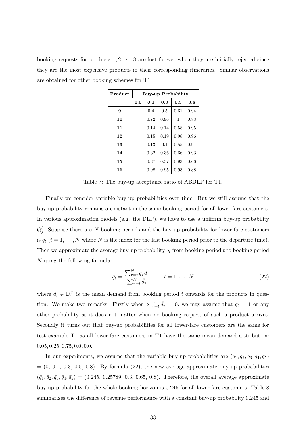booking requests for products  $1, 2, \dots, 8$  are lost forever when they are initially rejected since they are the most expensive products in their corresponding itineraries. Similar observations are obtained for other booking schemes for T1.

| Product | <b>Buy-up Probability</b> |      |      |      |      |
|---------|---------------------------|------|------|------|------|
|         | 0.0                       | 0.1  | 0.3  | 0.5  | 0.8  |
| 9       |                           | 0.4  | 0.5  | 0.61 | 0.94 |
| 10      |                           | 0.72 | 0.96 | 1    | 0.83 |
| 11      |                           | 0.14 | 0.14 | 0.58 | 0.95 |
| 12      |                           | 0.15 | 0.19 | 0.98 | 0.96 |
| 13      |                           | 0.13 | 0.1  | 0.55 | 0.91 |
| 14      |                           | 0.32 | 0.36 | 0.66 | 0.93 |
| 15      |                           | 0.37 | 0.57 | 0.93 | 0.66 |
| 16      |                           | 0.98 | 0.95 | 0.93 | 0.88 |

Table 7: The buy-up acceptance ratio of ABDLP for T1.

Finally we consider variable buy-up probabilities over time. But we still assume that the buy-up probability remains a constant in the same booking period for all lower-fare customers. In various approximation models (e.g. the DLP), we have to use a uniform buy-up probability  $Q_j^{\ell}$ . Suppose there are N booking periods and the buy-up probability for lower-fare customers is  $q_t$   $(t = 1, \dots, N$  where N is the index for the last booking period prior to the departure time). Then we approximate the average buy-up probability  $\bar{q}_t$  from booking period t to booking period N using the following formula:

$$
\bar{q}_t = \frac{\sum_{\tau=t}^N q_\tau \bar{d}_\tau}{\sum_{\tau=t}^N \bar{d}_\tau}, \qquad t = 1, \cdots, N
$$
\n(22)

where  $\bar{d}_t \in \mathbb{R}^n$  is the mean demand from booking period t onwards for the products in question. We make two remarks. Firstly when  $\sum_{\tau=t}^{N} \bar{d}_{\tau} = 0$ , we may assume that  $\bar{q}_t = 1$  or any other probability as it does not matter when no booking request of such a product arrives. Secondly it turns out that buy-up probabilities for all lower-fare customers are the same for test example T1 as all lower-fare customers in T1 have the same mean demand distribution: 0.05, 0.25, 0.75, 0.0, 0.0.

In our experiments, we assume that the variable buy-up probabilities are  $(q_1, q_2, q_3, q_4, q_5)$  $= (0, 0.1, 0.3, 0.5, 0.8)$ . By formula (22), the new average approximate buy-up probabilities  $(\bar{q}_1, \bar{q}_2, \bar{q}_3, \bar{q}_4, \bar{q}_5) = (0.245, 0.25789, 0.3, 0.65, 0.8)$ . Therefore, the overall average approximate buy-up probability for the whole booking horizon is 0.245 for all lower-fare customers. Table 8 summarizes the difference of revenue performance with a constant buy-up probability 0.245 and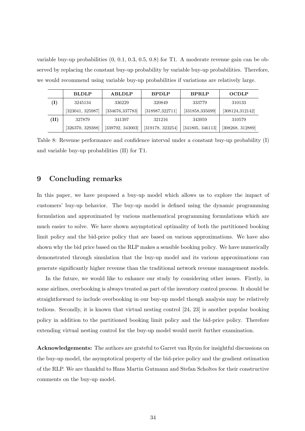variable buy-up probabilities (0, 0.1, 0.3, 0.5, 0.8) for T1. A moderate revenue gain can be observed by replacing the constant buy-up probability by variable buy-up probabilities. Therefore, we would recommend using variable buy-up probabilities if variations are relatively large.

|                 | <b>BLDLP</b>     | <b>ABLDLP</b>    | <b>BPDLP</b>     | <b>BPRLP</b>     | <b>OCDLP</b>     |
|-----------------|------------------|------------------|------------------|------------------|------------------|
| (I)             | 3245134          | 336229           | 320849           | 333779           | 310133           |
|                 | [323041, 325987] | [334676, 337783] | [318987, 322711] | [331858, 335699] | [308124, 312142] |
| $(\mathbf{II})$ | 327879           | 341397           | 321216           | 343959           | 310579           |
|                 | [326370, 329388] | [339792, 343003] | [319178, 323254] | [341805, 346113] | [308268, 312889] |

Table 8: Revenue performance and confidence interval under a constant buy-up probability (I) and variable buy-up probabilities (II) for T1.

# 9 Concluding remarks

In this paper, we have proposed a buy-up model which allows us to explore the impact of customers' buy-up behavior. The buy-up model is defined using the dynamic programming formulation and approximated by various mathematical programming formulations which are much easier to solve. We have shown asymptotical optimality of both the partitioned booking limit policy and the bid-price policy that are based on various approximations. We have also shown why the bid price based on the RLP makes a sensible booking policy. We have numerically demonstrated through simulation that the buy-up model and its various approximations can generate significantly higher revenue than the traditional network revenue management models.

In the future, we would like to enhance our study by considering other issues. Firstly, in some airlines, overbooking is always treated as part of the inventory control process. It should be straightforward to include overbooking in our buy-up model though analysis may be relatively tedious. Secondly, it is known that virtual nesting control [24, 23] is another popular booking policy in addition to the partitioned booking limit policy and the bid-price policy. Therefore extending virtual nesting control for the buy-up model would merit further examination.

Acknowledgements: The authors are grateful to Garret van Ryzin for insightful discussions on the buy-up model, the asymptotical property of the bid-price policy and the gradient estimation of the RLP. We are thankful to Hans Martin Gutmann and Stefan Scholtes for their constructive comments on the buy-up model.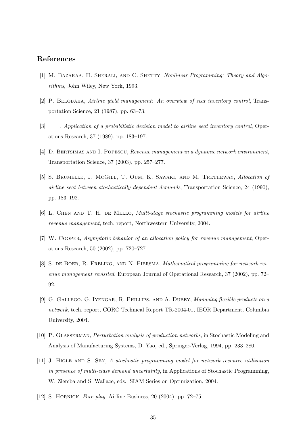# References

- [1] M. BAZARAA, H. SHERALI, AND C. SHETTY, Nonlinear Programming: Theory and Algorithms, John Wiley, New York, 1993.
- [2] P. Belobaba, Airline yield management: An overview of seat inventory control, Transportation Science, 21 (1987), pp. 63–73.
- [3]  $\_\_\_\_\$  Application of a probabilistic decision model to airline seat inventory control, Operations Research, 37 (1989), pp. 183–197.
- [4] D. Bertsimas and I. Popescu, Revenue management in a dynamic network environment, Transportation Science, 37 (2003), pp. 257–277.
- [5] S. BRUMELLE, J. MCGILL, T. OUM, K. SAWAKI, AND M. TRETHEWAY, Allocation of airline seat between stochastically dependent demands, Transportation Science, 24 (1990), pp. 183–192.
- [6] L. Chen and T. H. de Mello, Multi-stage stochastic programming models for airline revenue management, tech. report, Northwestern University, 2004.
- [7] W. Cooper, Asymptotic behavior of an allocation policy for revenue management, Operations Research, 50 (2002), pp. 720–727.
- [8] S. de Boer, R. Freling, and N. Piersma, Mathematical programming for network revenue management revisited, European Journal of Operational Research, 37 (2002), pp. 72– 92.
- [9] G. Gallego, G. Iyengar, R. Phillips, and A. Dubey, Managing flexible products on a network, tech. report, CORC Technical Report TR-2004-01, IEOR Department, Columbia University, 2004.
- [10] P. GLASSERMAN, *Perturbation analysis of production networks*, in Stochastic Modeling and Analysis of Manufacturing Systems, D. Yao, ed., Springer-Verlag, 1994, pp. 233–280.
- [11] J. HIGLE AND S. SEN, A stochastic programming model for network resource utilization in presence of multi-class demand uncertainty, in Applications of Stochastic Programming, W. Ziemba and S. Wallace, eds., SIAM Series on Optimization, 2004.
- [12] S. HORNICK, Fare play, Airline Business, 20 (2004), pp. 72–75.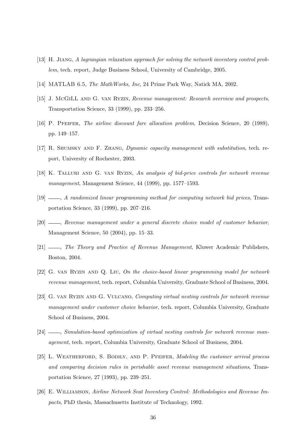- [13] H. Jiang, A lagrangian relaxation approach for solving the network inventory control problem, tech. report, Judge Business School, University of Cambridge, 2005.
- [14] MATLAB 6.5, The MathWorks, Inc, 24 Prime Park Way, Natick MA, 2002.
- [15] J. McGiLL AND G. VAN RYZIN, Revenue management: Research overview and prospects, Transportation Science, 33 (1999), pp. 233–256.
- [16] P. Pfeifer, The airline discount fare allocation problem, Decision Science, 20 (1989), pp. 149–157.
- [17] R. Shumsky and F. Zhang, Dynamic capacity management with substitution, tech. report, University of Rochester, 2003.
- [18] K. Talluri and G. van Ryzin, An analysis of bid-price controls for network revenue management, Management Science, 44 (1999), pp. 1577–1593.
- [19]  $\_\_\_\_\$  A randomized linear programming method for computing network bid prices, Transportation Science, 33 (1999), pp. 207–216.
- [20]  $\_\_\_\_\_\$  Revenue management under a general discrete choice model of customer behavior, Management Science, 50 (2004), pp. 15–33.
- [21]  $\_\_$ , The Theory and Practice of Revenue Management, Kluwer Academic Publishers, Boston, 2004.
- [22] G. van Ryzin and Q. Liu, On the choice-based linear programming model for network revenue management, tech. report, Columbia University, Graduate School of Business, 2004.
- [23] G. van Ryzin and G. Vulcano, Computing virtual nesting controls for network revenue management under customer choice behavior, tech. report, Columbia University, Graduate School of Business, 2004.
- [24]  $\_\_\_\_\$  Simulation-based optimization of virtual nesting controls for network revenue management, tech. report, Columbia University, Graduate School of Business, 2004.
- [25] L. Weatherford, S. Bodily, and P. Pfeifer, Modeling the customer arrival process and comparing decision rules in perishable asset revenue management situations, Transportation Science, 27 (1993), pp. 239–251.
- [26] E. Williamson, Airline Network Seat Inventory Control: Methodologies and Revenue Impacts, PhD thesis, Massachusetts Institute of Technology, 1992.